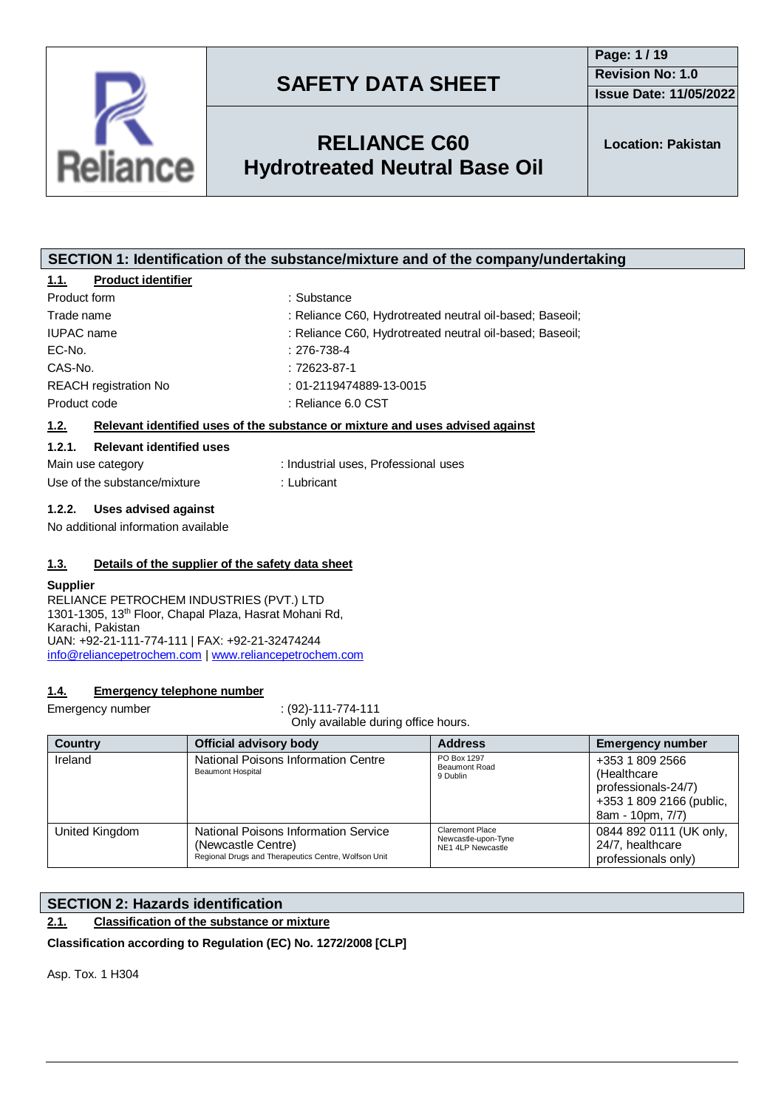



## **RELIANCE C60 Hydrotreated Neutral Base Oil**

| <b>Product identifier</b><br>1.1.         |                                                                               |  |
|-------------------------------------------|-------------------------------------------------------------------------------|--|
| Product form                              | : Substance                                                                   |  |
| Trade name                                | : Reliance C60, Hydrotreated neutral oil-based; Baseoil;                      |  |
| <b>IUPAC</b> name                         | : Reliance C60, Hydrotreated neutral oil-based; Baseoil;                      |  |
| $EC-No.$                                  | $: 276 - 738 - 4$                                                             |  |
| CAS-No.                                   | $:72623-87-1$                                                                 |  |
| <b>REACH</b> registration No              | $: 01 - 2119474889 - 13 - 0015$                                               |  |
| Product code                              | : Reliance 6.0 CST                                                            |  |
| 1.2.                                      | Relevant identified uses of the substance or mixture and uses advised against |  |
| <b>Relevant identified uses</b><br>1.2.1. |                                                                               |  |
| Main use category                         | : Industrial uses. Professional uses                                          |  |
| Use of the substance/mixture              | : Lubricant                                                                   |  |
| Uses advised against<br>1.2.2.            |                                                                               |  |

**SECTION 1: Identification of the substance/mixture and of the company/undertaking**

No additional information available

### **1.3. Details of the supplier of the safety data sheet**

#### **Supplier**

RELIANCE PETROCHEM INDUSTRIES (PVT.) LTD 1301-1305, 13th Floor, Chapal Plaza, Hasrat Mohani Rd, Karachi, Pakistan UAN: +92-21-111-774-111 | FAX: +92-21-32474244 [info@reliancepetrochem.com](mailto:info@reliancepetrochem.com) [| www.reliancepetrochem.com](http://www.reliancepetrochem.com/)

### **1.4. Emergency telephone number**

Emergency number : (92)-111-774-111

Only available during office hours.

| <b>Country</b> | Official advisory body                                                                                             | <b>Address</b>                                                     | <b>Emergency number</b>                                                                                |
|----------------|--------------------------------------------------------------------------------------------------------------------|--------------------------------------------------------------------|--------------------------------------------------------------------------------------------------------|
| Ireland        | National Poisons Information Centre<br><b>Beaumont Hospital</b>                                                    | PO Box 1297<br><b>Beaumont Road</b><br>9 Dublin                    | +353 1 809 2566<br>(Healthcare)<br>professionals-24/7)<br>+353 1 809 2166 (public,<br>8am - 10pm, 7/7) |
| United Kingdom | National Poisons Information Service<br>(Newcastle Centre)<br>Regional Drugs and Therapeutics Centre, Wolfson Unit | <b>Claremont Place</b><br>Newcastle-upon-Tyne<br>NE1 4LP Newcastle | 0844 892 0111 (UK only,<br>24/7, healthcare<br>professionals only)                                     |

### **SECTION 2: Hazards identification**

**2.1. Classification of the substance or mixture**

**Classification according to Regulation (EC) No. 1272/2008 [CLP]**

Asp. Tox. 1 H304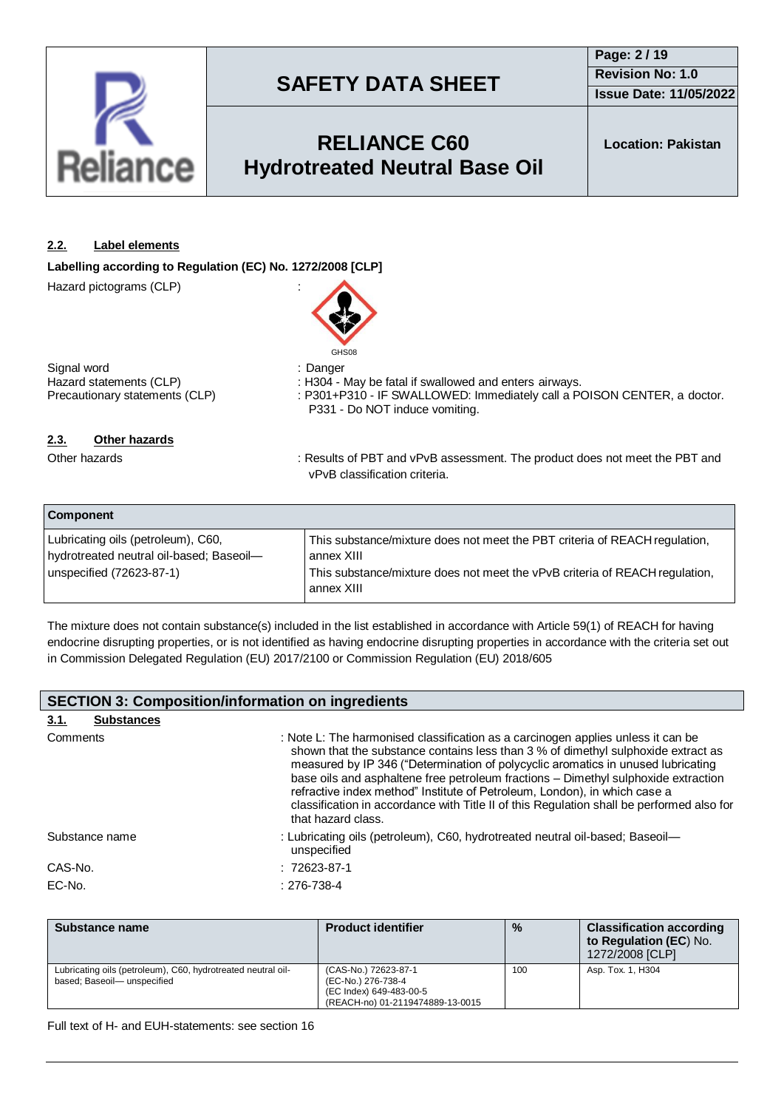

## **RELIANCE C60 Hydrotreated Neutral Base Oil**

**Location: Pakistan**

### **2.2. Label elements**

**Labelling according to Regulation (EC) No. 1272/2008 [CLP]**

Hazard pictograms (CLP) :



Signal word<br>
Hazard statements (CLP) (CLP) : H304 - I

Hazard statements (CLP) : H304 - May be fatal if swallowed and enters airways.<br>Precautionary statements (CLP) : P301+P310 - IF SWALLOWED: Immediately call a P : P301+P310 - IF SWALLOWED: Immediately call a POISON CENTER, a doctor. P331 - Do NOT induce vomiting.

### **2.3. Other hazards**

Other hazards **in the product of PET and vPvB** assessment. The product does not meet the PBT and vPvB classification criteria.

| <b>Component</b>                                                               |                                                                                           |
|--------------------------------------------------------------------------------|-------------------------------------------------------------------------------------------|
| Lubricating oils (petroleum), C60,<br>hydrotreated neutral oil-based; Baseoil- | This substance/mixture does not meet the PBT criteria of REACH regulation,<br>annex XIII  |
| unspecified (72623-87-1)                                                       | This substance/mixture does not meet the vPvB criteria of REACH regulation,<br>annex XIII |

The mixture does not contain substance(s) included in the list established in accordance with Article 59(1) of REACH for having endocrine disrupting properties, or is not identified as having endocrine disrupting properties in accordance with the criteria set out in Commission Delegated Regulation (EU) 2017/2100 or Commission Regulation (EU) 2018/605

| <b>SECTION 3: Composition/information on ingredients</b> |                   |                                                                                                                                                                                                                                                                                                                                                                                                                                                                                                                                                 |  |
|----------------------------------------------------------|-------------------|-------------------------------------------------------------------------------------------------------------------------------------------------------------------------------------------------------------------------------------------------------------------------------------------------------------------------------------------------------------------------------------------------------------------------------------------------------------------------------------------------------------------------------------------------|--|
| 3.1.                                                     | <b>Substances</b> |                                                                                                                                                                                                                                                                                                                                                                                                                                                                                                                                                 |  |
| Comments                                                 |                   | : Note L: The harmonised classification as a carcinogen applies unless it can be<br>shown that the substance contains less than 3 % of dimethyl sulphoxide extract as<br>measured by IP 346 ("Determination of polycyclic aromatics in unused lubricating<br>base oils and asphaltene free petroleum fractions - Dimethyl sulphoxide extraction<br>refractive index method" Institute of Petroleum, London), in which case a<br>classification in accordance with Title II of this Regulation shall be performed also for<br>that hazard class. |  |
|                                                          | Substance name    | : Lubricating oils (petroleum), C60, hydrotreated neutral oil-based; Baseoil—<br>unspecified                                                                                                                                                                                                                                                                                                                                                                                                                                                    |  |
| CAS-No.                                                  |                   | $: 72623 - 87 - 1$                                                                                                                                                                                                                                                                                                                                                                                                                                                                                                                              |  |
| EC-No.                                                   |                   | $: 276 - 738 - 4$                                                                                                                                                                                                                                                                                                                                                                                                                                                                                                                               |  |

| Substance name                                                                             | <b>Product identifier</b>                                                                                 | $\frac{0}{0}$ | <b>Classification according</b><br>to Regulation (EC) No.<br>1272/2008 [CLP] |
|--------------------------------------------------------------------------------------------|-----------------------------------------------------------------------------------------------------------|---------------|------------------------------------------------------------------------------|
| Lubricating oils (petroleum), C60, hydrotreated neutral oil-<br>based; Baseoil-unspecified | (CAS-No.) 72623-87-1<br>(EC-No.) 276-738-4<br>(EC Index) 649-483-00-5<br>(REACH-no) 01-2119474889-13-0015 | 100           | Asp. Tox. 1, H304                                                            |

Full text of H- and EUH-statements: see section 16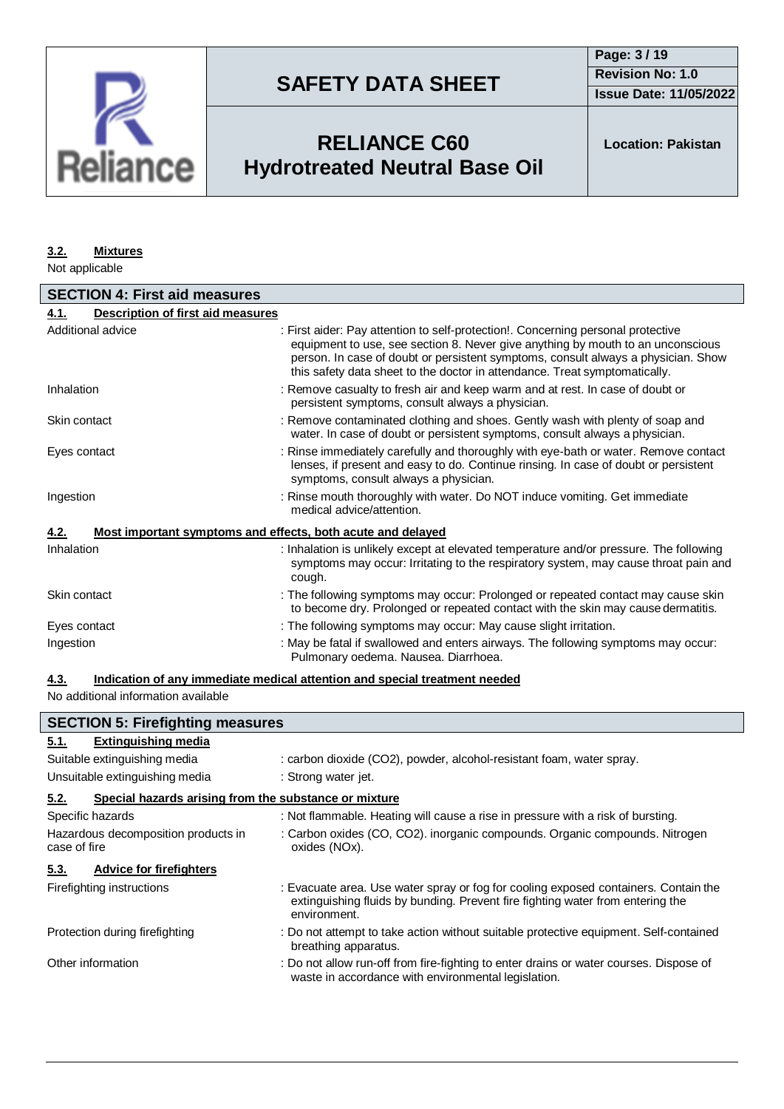

**Issue Date: 11/05/2022**

# **RELIANCE C60 Hydrotreated Neutral Base Oil**

### **3.2. Mixtures**

Not applicable

| <b>SECTION 4: First aid measures</b>      |                                                                                                                                                                                                                                                                                                                                        |  |
|-------------------------------------------|----------------------------------------------------------------------------------------------------------------------------------------------------------------------------------------------------------------------------------------------------------------------------------------------------------------------------------------|--|
| Description of first aid measures<br>4.1. |                                                                                                                                                                                                                                                                                                                                        |  |
| Additional advice                         | : First aider: Pay attention to self-protection!. Concerning personal protective<br>equipment to use, see section 8. Never give anything by mouth to an unconscious<br>person. In case of doubt or persistent symptoms, consult always a physician. Show<br>this safety data sheet to the doctor in attendance. Treat symptomatically. |  |
| Inhalation                                | : Remove casualty to fresh air and keep warm and at rest. In case of doubt or<br>persistent symptoms, consult always a physician.                                                                                                                                                                                                      |  |
| Skin contact                              | : Remove contaminated clothing and shoes. Gently wash with plenty of soap and<br>water. In case of doubt or persistent symptoms, consult always a physician.                                                                                                                                                                           |  |
| Eyes contact                              | : Rinse immediately carefully and thoroughly with eye-bath or water. Remove contact<br>lenses, if present and easy to do. Continue rinsing. In case of doubt or persistent<br>symptoms, consult always a physician.                                                                                                                    |  |
| Ingestion                                 | : Rinse mouth thoroughly with water. Do NOT induce vomiting. Get immediate<br>medical advice/attention.                                                                                                                                                                                                                                |  |
| 4.2.                                      | Most important symptoms and effects, both acute and delayed                                                                                                                                                                                                                                                                            |  |
| Inhalation                                | : Inhalation is unlikely except at elevated temperature and/or pressure. The following<br>symptoms may occur: Irritating to the respiratory system, may cause throat pain and<br>cough.                                                                                                                                                |  |
| Skin contact                              | : The following symptoms may occur: Prolonged or repeated contact may cause skin<br>to become dry. Prolonged or repeated contact with the skin may cause dermatitis.                                                                                                                                                                   |  |
| Eyes contact                              | : The following symptoms may occur: May cause slight irritation.                                                                                                                                                                                                                                                                       |  |
| Ingestion                                 | : May be fatal if swallowed and enters airways. The following symptoms may occur:<br>Pulmonary oedema. Nausea. Diarrhoea.                                                                                                                                                                                                              |  |

### **4.3. Indication of any immediate medical attention and special treatment needed**

No additional information available

| <b>SECTION 5: Firefighting measures</b>                       |                                                                                                                                                                                       |  |
|---------------------------------------------------------------|---------------------------------------------------------------------------------------------------------------------------------------------------------------------------------------|--|
| <b>Extinguishing media</b><br>5.1.                            |                                                                                                                                                                                       |  |
| Suitable extinguishing media                                  | : carbon dioxide (CO2), powder, alcohol-resistant foam, water spray.                                                                                                                  |  |
| Unsuitable extinguishing media                                | : Strong water jet.                                                                                                                                                                   |  |
| Special hazards arising from the substance or mixture<br>5.2. |                                                                                                                                                                                       |  |
| Specific hazards                                              | : Not flammable. Heating will cause a rise in pressure with a risk of bursting.                                                                                                       |  |
| Hazardous decomposition products in<br>case of fire           | : Carbon oxides (CO, CO2). inorganic compounds. Organic compounds. Nitrogen<br>oxides (NOx).                                                                                          |  |
| <b>Advice for firefighters</b><br>5.3.                        |                                                                                                                                                                                       |  |
| Firefighting instructions                                     | : Evacuate area. Use water spray or fog for cooling exposed containers. Contain the<br>extinguishing fluids by bunding. Prevent fire fighting water from entering the<br>environment. |  |
| Protection during firefighting                                | : Do not attempt to take action without suitable protective equipment. Self-contained<br>breathing apparatus.                                                                         |  |
| Other information                                             | : Do not allow run-off from fire-fighting to enter drains or water courses. Dispose of<br>waste in accordance with environmental legislation.                                         |  |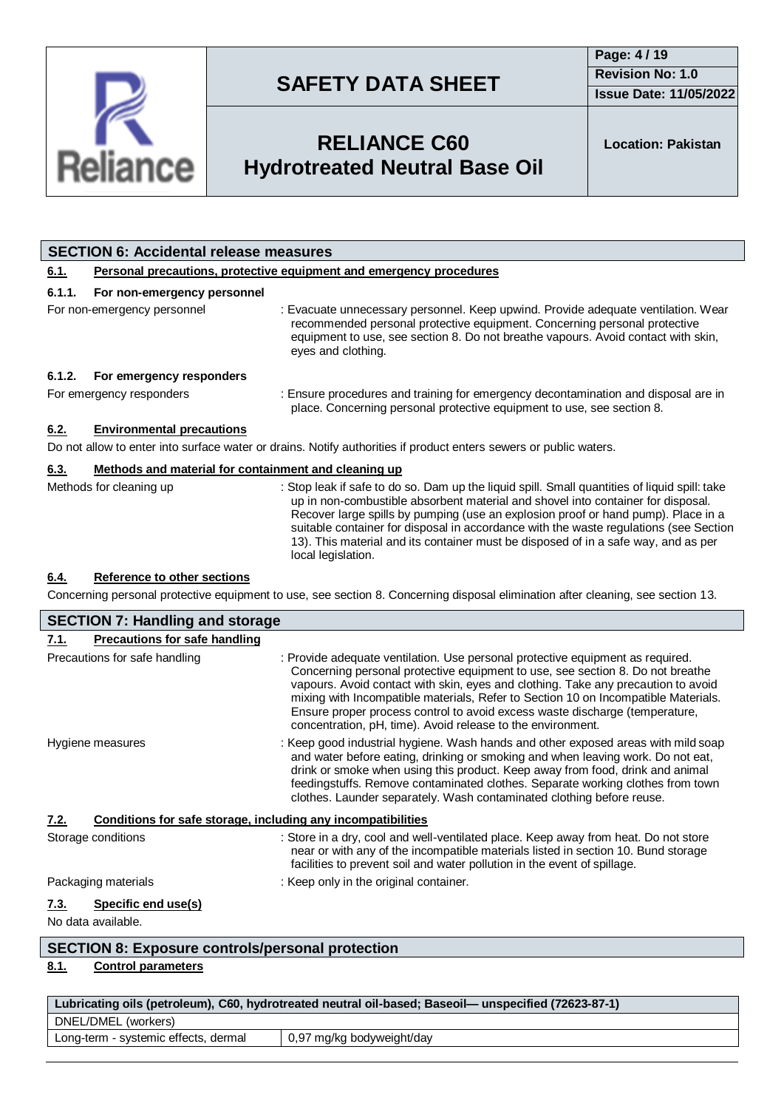

**Issue Date: 11/05/2022**

# **RELIANCE C60 Hydrotreated Neutral Base Oil**

**Location: Pakistan**

|             | <b>SECTION 6: Accidental release measures</b>                       |                                                                                                                                                                                                                                                                                                                                                                                                                                                                             |  |  |
|-------------|---------------------------------------------------------------------|-----------------------------------------------------------------------------------------------------------------------------------------------------------------------------------------------------------------------------------------------------------------------------------------------------------------------------------------------------------------------------------------------------------------------------------------------------------------------------|--|--|
| <u>6.1.</u> | Personal precautions, protective equipment and emergency procedures |                                                                                                                                                                                                                                                                                                                                                                                                                                                                             |  |  |
| 6.1.1.      | For non-emergency personnel                                         |                                                                                                                                                                                                                                                                                                                                                                                                                                                                             |  |  |
|             | For non-emergency personnel                                         | : Evacuate unnecessary personnel. Keep upwind. Provide adequate ventilation. Wear<br>recommended personal protective equipment. Concerning personal protective<br>equipment to use, see section 8. Do not breathe vapours. Avoid contact with skin,<br>eyes and clothing.                                                                                                                                                                                                   |  |  |
| 6.1.2.      | For emergency responders                                            |                                                                                                                                                                                                                                                                                                                                                                                                                                                                             |  |  |
|             | For emergency responders                                            | : Ensure procedures and training for emergency decontamination and disposal are in<br>place. Concerning personal protective equipment to use, see section 8.                                                                                                                                                                                                                                                                                                                |  |  |
| 6.2.        | <b>Environmental precautions</b>                                    |                                                                                                                                                                                                                                                                                                                                                                                                                                                                             |  |  |
|             |                                                                     | Do not allow to enter into surface water or drains. Notify authorities if product enters sewers or public waters.                                                                                                                                                                                                                                                                                                                                                           |  |  |
| 6.3.        | Methods and material for containment and cleaning up                |                                                                                                                                                                                                                                                                                                                                                                                                                                                                             |  |  |
|             | Methods for cleaning up                                             | : Stop leak if safe to do so. Dam up the liquid spill. Small quantities of liquid spill: take<br>up in non-combustible absorbent material and shovel into container for disposal.<br>Recover large spills by pumping (use an explosion proof or hand pump). Place in a<br>suitable container for disposal in accordance with the waste regulations (see Section<br>13). This material and its container must be disposed of in a safe way, and as per<br>local legislation. |  |  |
| 6.4.        | Reference to other sections                                         | Concerning personal protective equipment to use, see section 8. Concerning disposal elimination after cleaning, see section 13.                                                                                                                                                                                                                                                                                                                                             |  |  |

### **7.1. Precautions for safe handling** Precautions for safe handling : Provide adequate ventilation. Use personal protective equipment as required. Concerning personal protective equipment to use, see section 8. Do not breathe vapours. Avoid contact with skin, eyes and clothing. Take any precaution to avoid mixing with Incompatible materials, Refer to Section 10 on Incompatible Materials. Ensure proper process control to avoid excess waste discharge (temperature, concentration, pH, time). Avoid release to the environment. Hygiene measures **industrial hygiene.** Wash hands and other exposed areas with mild soap and water before eating, drinking or smoking and when leaving work. Do not eat, drink or smoke when using this product. Keep away from food, drink and animal feedingstuffs. Remove contaminated clothes. Separate working clothes from town clothes. Launder separately. Wash contaminated clothing before reuse. **7.2. Conditions for safe storage, including any incompatibilities** Storage conditions : Store in a dry, cool and well-ventilated place. Keep away from heat. Do not store near or with any of the incompatible materials listed in section 10. Bund storage facilities to prevent soil and water pollution in the event of spillage. Packaging materials **Exercise 1** : Keep only in the original container. **7.3. Specific end use(s)** No data available. **SECTION 7: Handling and storage**

## **SECTION 8: Exposure controls/personal protection**

## **8.1. Control parameters**

| Lubricating oils (petroleum), C60, hydrotreated neutral oil-based; Baseoil— unspecified (72623-87-1) |  |  |
|------------------------------------------------------------------------------------------------------|--|--|
| DNEL/DMEL (workers)                                                                                  |  |  |
| Long-term - systemic effects, dermal<br>0,97 mg/kg bodyweight/day                                    |  |  |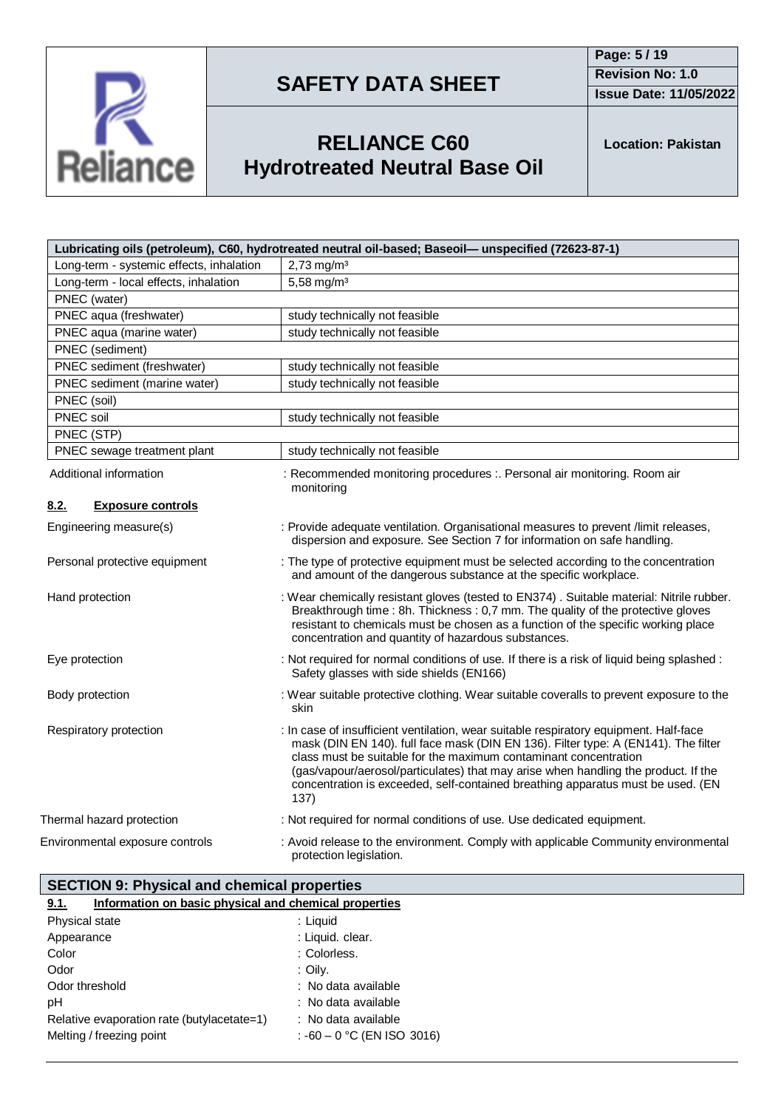

**Page: 5 / 19 Revision No: 1.0**

**Issue Date: 11/05/2022**



# **RELIANCE C60 Hydrotreated Neutral Base Oil**

**Location: Pakistan**

|                                          | Lubricating oils (petroleum), C60, hydrotreated neutral oil-based; Baseoil— unspecified (72623-87-1)                                                                                                                                                                                                                                                                                                                             |
|------------------------------------------|----------------------------------------------------------------------------------------------------------------------------------------------------------------------------------------------------------------------------------------------------------------------------------------------------------------------------------------------------------------------------------------------------------------------------------|
| Long-term - systemic effects, inhalation | $2,73$ mg/m <sup>3</sup>                                                                                                                                                                                                                                                                                                                                                                                                         |
| Long-term - local effects, inhalation    | 5,58 mg/m <sup>3</sup>                                                                                                                                                                                                                                                                                                                                                                                                           |
| PNEC (water)                             |                                                                                                                                                                                                                                                                                                                                                                                                                                  |
| PNEC aqua (freshwater)                   | study technically not feasible                                                                                                                                                                                                                                                                                                                                                                                                   |
| PNEC aqua (marine water)                 | study technically not feasible                                                                                                                                                                                                                                                                                                                                                                                                   |
| PNEC (sediment)                          |                                                                                                                                                                                                                                                                                                                                                                                                                                  |
| PNEC sediment (freshwater)               | study technically not feasible                                                                                                                                                                                                                                                                                                                                                                                                   |
| PNEC sediment (marine water)             | study technically not feasible                                                                                                                                                                                                                                                                                                                                                                                                   |
| PNEC (soil)                              |                                                                                                                                                                                                                                                                                                                                                                                                                                  |
| PNEC soil                                | study technically not feasible                                                                                                                                                                                                                                                                                                                                                                                                   |
| PNEC (STP)                               |                                                                                                                                                                                                                                                                                                                                                                                                                                  |
| PNEC sewage treatment plant              | study technically not feasible                                                                                                                                                                                                                                                                                                                                                                                                   |
| Additional information                   | : Recommended monitoring procedures :. Personal air monitoring. Room air<br>monitoring                                                                                                                                                                                                                                                                                                                                           |
| 8.2.<br><b>Exposure controls</b>         |                                                                                                                                                                                                                                                                                                                                                                                                                                  |
| Engineering measure(s)                   | : Provide adequate ventilation. Organisational measures to prevent /limit releases,<br>dispersion and exposure. See Section 7 for information on safe handling.                                                                                                                                                                                                                                                                  |
| Personal protective equipment            | : The type of protective equipment must be selected according to the concentration<br>and amount of the dangerous substance at the specific workplace.                                                                                                                                                                                                                                                                           |
| Hand protection                          | : Wear chemically resistant gloves (tested to EN374). Suitable material: Nitrile rubber.<br>Breakthrough time : 8h. Thickness : 0,7 mm. The quality of the protective gloves<br>resistant to chemicals must be chosen as a function of the specific working place<br>concentration and quantity of hazardous substances.                                                                                                         |
| Eye protection                           | : Not required for normal conditions of use. If there is a risk of liquid being splashed :<br>Safety glasses with side shields (EN166)                                                                                                                                                                                                                                                                                           |
| Body protection                          | : Wear suitable protective clothing. Wear suitable coveralls to prevent exposure to the<br>skin                                                                                                                                                                                                                                                                                                                                  |
| Respiratory protection                   | : In case of insufficient ventilation, wear suitable respiratory equipment. Half-face<br>mask (DIN EN 140). full face mask (DIN EN 136). Filter type: A (EN141). The filter<br>class must be suitable for the maximum contaminant concentration<br>(gas/vapour/aerosol/particulates) that may arise when handling the product. If the<br>concentration is exceeded, self-contained breathing apparatus must be used. (EN<br>137) |
| Thermal hazard protection                | : Not required for normal conditions of use. Use dedicated equipment.                                                                                                                                                                                                                                                                                                                                                            |
| Environmental exposure controls          | : Avoid release to the environment. Comply with applicable Community environmental<br>protection legislation.                                                                                                                                                                                                                                                                                                                    |

## **9.1. Information on basic physical and chemical properties SECTION 9: Physical and chemical properties**

| Physical state                             | : Liquid                     |
|--------------------------------------------|------------------------------|
| Appearance                                 | : Liquid. clear.             |
| Color                                      | : Colorless.                 |
| Odor                                       | : Oilv.                      |
| Odor threshold                             | : No data available          |
| pН                                         | : No data available          |
| Relative evaporation rate (butylacetate=1) | : No data available          |
| Melting / freezing point                   | : $-60 - 0$ °C (EN ISO 3016) |
|                                            |                              |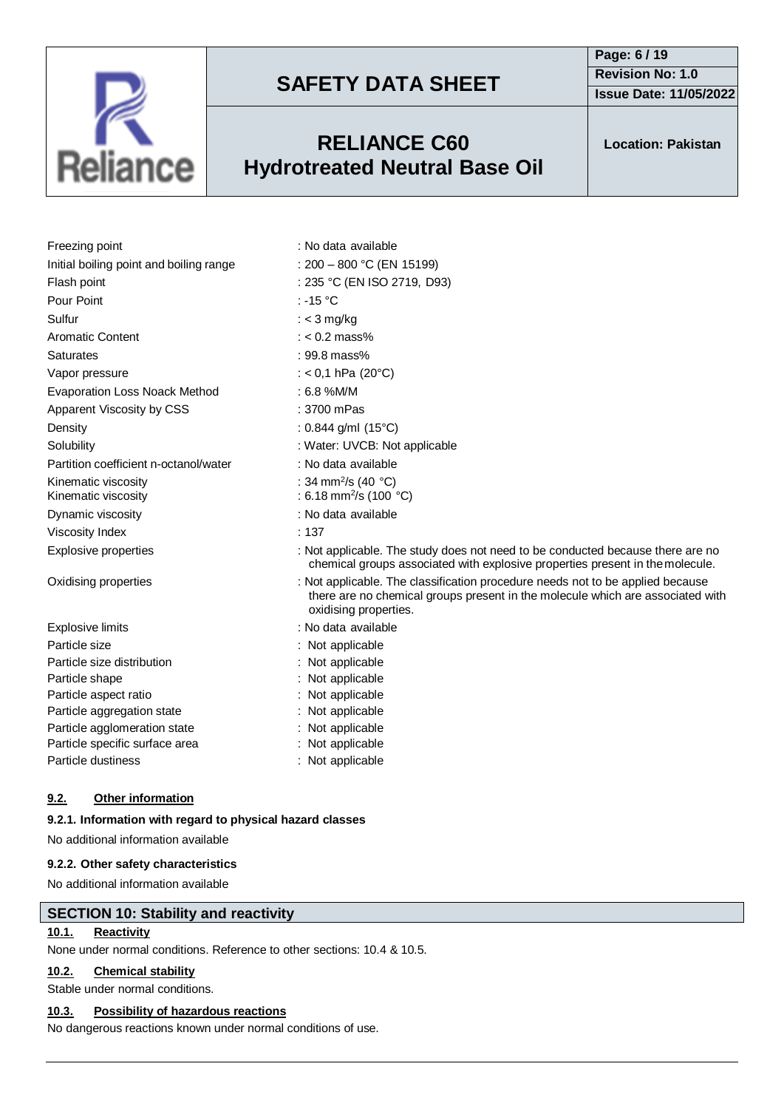

## **RELIANCE C60 Hydrotreated Neutral Base Oil**

**Page: 6 / 19 Revision No: 1.0 Issue Date: 11/05/2022**

**Location: Pakistan**

| Freezing point                             | : No data available                                                                                                                                                                       |
|--------------------------------------------|-------------------------------------------------------------------------------------------------------------------------------------------------------------------------------------------|
| Initial boiling point and boiling range    | : $200 - 800$ °C (EN 15199)                                                                                                                                                               |
| Flash point                                | : 235 °C (EN ISO 2719, D93)                                                                                                                                                               |
| Pour Point                                 | : -15 $^{\circ}$ C                                                                                                                                                                        |
| Sulfur                                     | : $<$ 3 mg/kg                                                                                                                                                                             |
| <b>Aromatic Content</b>                    | $: < 0.2$ mass%                                                                                                                                                                           |
| <b>Saturates</b>                           | : 99.8 mass%                                                                                                                                                                              |
| Vapor pressure                             | : < 0,1 hPa (20 $^{\circ}$ C)                                                                                                                                                             |
| <b>Evaporation Loss Noack Method</b>       | $: 6.8$ %M/M                                                                                                                                                                              |
| Apparent Viscosity by CSS                  | $: 3700$ mPas                                                                                                                                                                             |
| Density                                    | : $0.844$ g/ml (15°C)                                                                                                                                                                     |
| Solubility                                 | : Water: UVCB: Not applicable                                                                                                                                                             |
| Partition coefficient n-octanol/water      | : No data available                                                                                                                                                                       |
| Kinematic viscosity<br>Kinematic viscosity | : 34 mm <sup>2</sup> /s (40 °C)<br>: 6.18 mm <sup>2</sup> /s (100 °C)                                                                                                                     |
| Dynamic viscosity                          | : No data available                                                                                                                                                                       |
| <b>Viscosity Index</b>                     | : 137                                                                                                                                                                                     |
| <b>Explosive properties</b>                | : Not applicable. The study does not need to be conducted because there are no<br>chemical groups associated with explosive properties present in the molecule.                           |
| Oxidising properties                       | : Not applicable. The classification procedure needs not to be applied because<br>there are no chemical groups present in the molecule which are associated with<br>oxidising properties. |
| Explosive limits                           | : No data available                                                                                                                                                                       |
| Particle size                              | : Not applicable                                                                                                                                                                          |
| Particle size distribution                 | : Not applicable                                                                                                                                                                          |
| Particle shape                             | Not applicable                                                                                                                                                                            |
| Particle aspect ratio                      | : Not applicable                                                                                                                                                                          |
| Particle aggregation state                 | Not applicable                                                                                                                                                                            |
| Particle agglomeration state               | Not applicable                                                                                                                                                                            |
| Particle specific surface area             | : Not applicable                                                                                                                                                                          |
| Particle dustiness                         | : Not applicable                                                                                                                                                                          |

### **9.2. Other information**

### **9.2.1. Information with regard to physical hazard classes**

No additional information available

### **9.2.2. Other safety characteristics**

No additional information available

### **SECTION 10: Stability and reactivity**

## **10.1. Reactivity**

None under normal conditions. Reference to other sections: 10.4 & 10.5.

## **10.2. Chemical stability**

Stable under normal conditions.

## **10.3. Possibility of hazardous reactions**

No dangerous reactions known under normal conditions of use.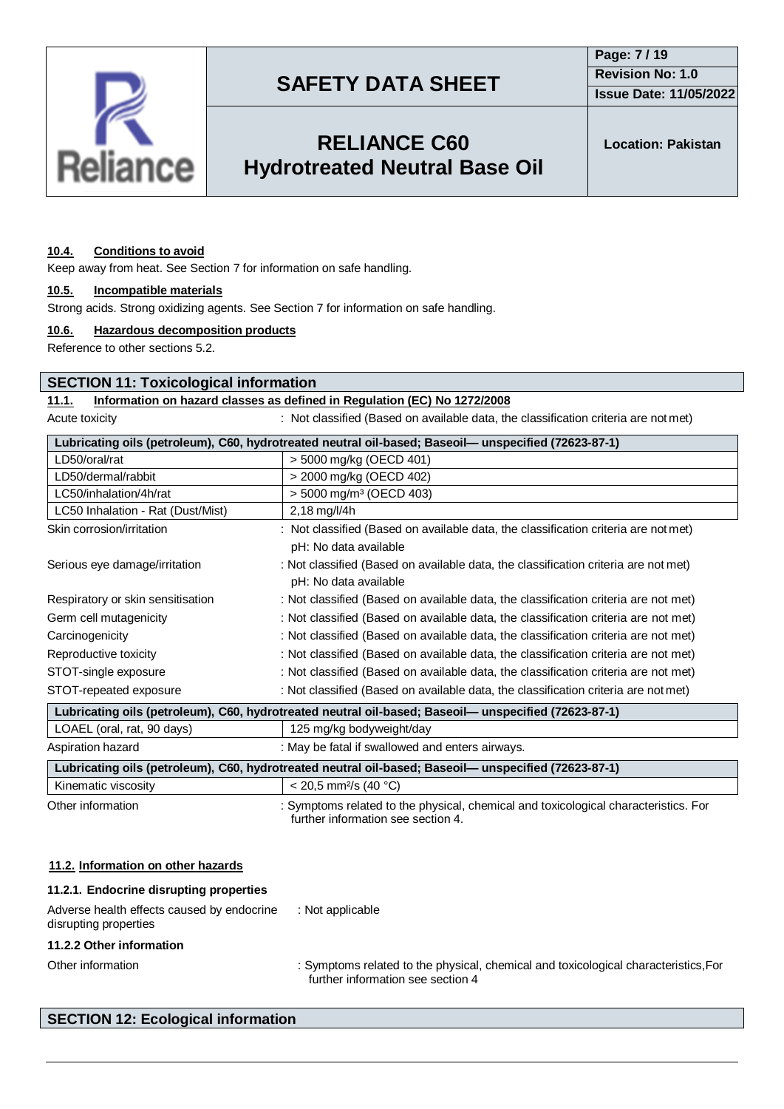

**Issue Date: 11/05/2022**

# **RELIANCE C60 Hydrotreated Neutral Base Oil**

**Location: Pakistan**

### **10.4. Conditions to avoid**

Keep away from heat. See Section 7 for information on safe handling.

### **10.5. Incompatible materials**

Strong acids. Strong oxidizing agents. See Section 7 for information on safe handling.

### **10.6. Hazardous decomposition products**

Reference to other sections 5.2.

### **SECTION 11: Toxicological information**

### **11.1. Information on hazard classes as defined in Regulation (EC) No 1272/2008**

Acute toxicity **interest in the classified (Based on available data, the classification criteria are not met)** 

| Lubricating oils (petroleum), C60, hydrotreated neutral oil-based; Baseoil— unspecified (72623-87-1) |                                                                                                      |  |  |  |
|------------------------------------------------------------------------------------------------------|------------------------------------------------------------------------------------------------------|--|--|--|
| LD50/oral/rat                                                                                        | > 5000 mg/kg (OECD 401)                                                                              |  |  |  |
| LD50/dermal/rabbit                                                                                   | > 2000 mg/kg (OECD 402)                                                                              |  |  |  |
| LC50/inhalation/4h/rat                                                                               | $>$ 5000 mg/m <sup>3</sup> (OECD 403)                                                                |  |  |  |
| LC50 Inhalation - Rat (Dust/Mist)                                                                    | $2,18$ mg/l/4h                                                                                       |  |  |  |
| Skin corrosion/irritation                                                                            | : Not classified (Based on available data, the classification criteria are not met)                  |  |  |  |
|                                                                                                      | pH: No data available                                                                                |  |  |  |
| Serious eye damage/irritation                                                                        | : Not classified (Based on available data, the classification criteria are not met)                  |  |  |  |
|                                                                                                      | pH: No data available                                                                                |  |  |  |
| Respiratory or skin sensitisation                                                                    | : Not classified (Based on available data, the classification criteria are not met)                  |  |  |  |
| Germ cell mutagenicity                                                                               | : Not classified (Based on available data, the classification criteria are not met)                  |  |  |  |
| Carcinogenicity                                                                                      | : Not classified (Based on available data, the classification criteria are not met)                  |  |  |  |
| Reproductive toxicity                                                                                | : Not classified (Based on available data, the classification criteria are not met)                  |  |  |  |
| STOT-single exposure                                                                                 | : Not classified (Based on available data, the classification criteria are not met)                  |  |  |  |
| STOT-repeated exposure                                                                               | : Not classified (Based on available data, the classification criteria are not met)                  |  |  |  |
|                                                                                                      | Lubricating oils (petroleum), C60, hydrotreated neutral oil-based; Baseoil— unspecified (72623-87-1) |  |  |  |
| LOAEL (oral, rat, 90 days)                                                                           | 125 mg/kg bodyweight/day                                                                             |  |  |  |
| Aspiration hazard                                                                                    | : May be fatal if swallowed and enters airways.                                                      |  |  |  |
| Lubricating oils (petroleum), C60, hydrotreated neutral oil-based; Baseoil— unspecified (72623-87-1) |                                                                                                      |  |  |  |
|                                                                                                      |                                                                                                      |  |  |  |

Kinematic viscosity  $\vert$  < 20,5 mm<sup>2</sup>/s (40 °C) Other information : Symptoms related to the physical, chemical and toxicological characteristics. For further information see section 4.

### **11.2. Information on other hazards**

| 11.2.1. Endocrine disrupting properties                             |                                                                                                                          |
|---------------------------------------------------------------------|--------------------------------------------------------------------------------------------------------------------------|
| Adverse health effects caused by endocrine<br>disrupting properties | : Not applicable                                                                                                         |
| 11.2.2 Other information                                            |                                                                                                                          |
| Other information                                                   | : Symptoms related to the physical, chemical and toxicological characteristics, For<br>further information see section 4 |

### **SECTION 12: Ecological information**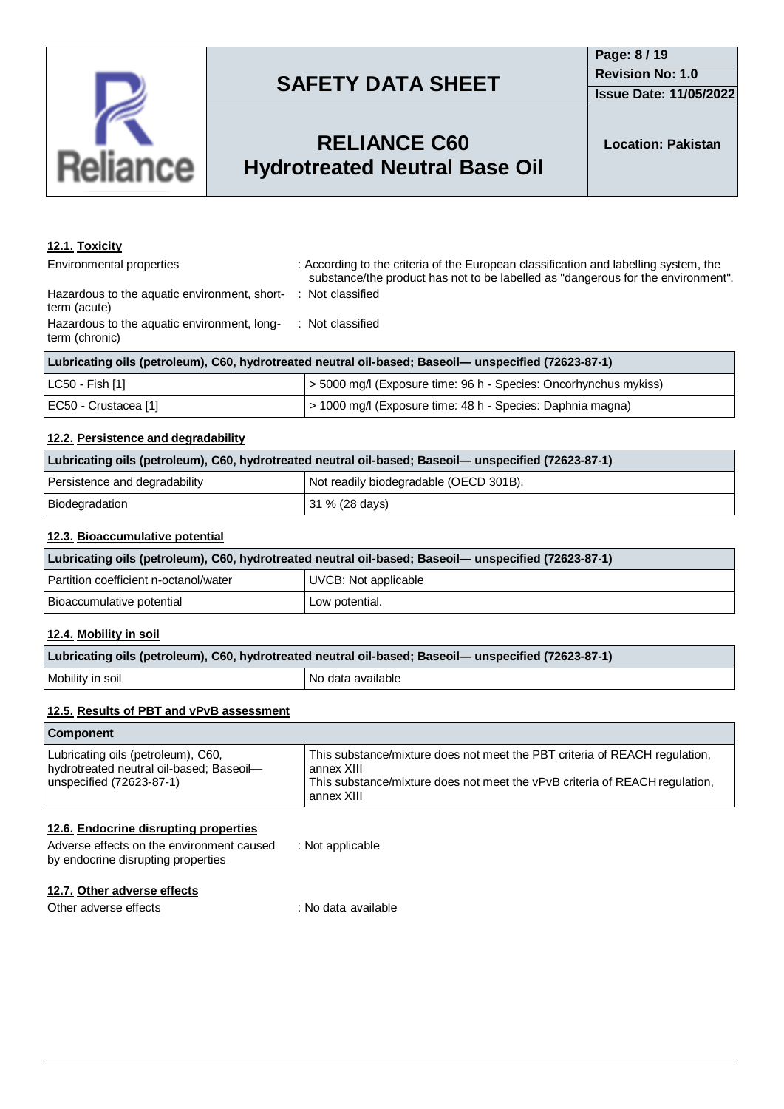

## **RELIANCE C60 Hydrotreated Neutral Base Oil**

## **12.1. Toxicity**

Environmental properties : According to the criteria of the European classification and labelling system, the substance/the product has not to be labelled as "dangerous for the environment". : Not classified

Hazardous to the aquatic environment, shortterm (acute) Hazardous to the aquatic environment, longterm (chronic) : Not classified

| Lubricating oils (petroleum), C60, hydrotreated neutral oil-based; Baseoil— unspecified (72623-87-1) |                                                                  |  |
|------------------------------------------------------------------------------------------------------|------------------------------------------------------------------|--|
| LC50 - Fish [1]                                                                                      | > 5000 mg/l (Exposure time: 96 h - Species: Oncorhynchus mykiss) |  |
| EC50 - Crustacea [1]                                                                                 | > 1000 mg/l (Exposure time: 48 h - Species: Daphnia magna)       |  |

### **12.2. Persistence and degradability**

| Lubricating oils (petroleum), C60, hydrotreated neutral oil-based; Baseoil— unspecified (72623-87-1) |                                        |  |  |
|------------------------------------------------------------------------------------------------------|----------------------------------------|--|--|
| Persistence and degradability                                                                        | Not readily biodegradable (OECD 301B). |  |  |
| Biodegradation                                                                                       | 31 % (28 days)                         |  |  |

### **12.3. Bioaccumulative potential**

| Lubricating oils (petroleum), C60, hydrotreated neutral oil-based; Baseoil— unspecified (72623-87-1) |                      |  |  |
|------------------------------------------------------------------------------------------------------|----------------------|--|--|
| Partition coefficient n-octanol/water                                                                | UVCB: Not applicable |  |  |
| Bioaccumulative potential                                                                            | Low potential.       |  |  |

### **12.4. Mobility in soil**

| Lubricating oils (petroleum), C60, hydrotreated neutral oil-based; Baseoil— unspecified (72623-87-1) |  |  |
|------------------------------------------------------------------------------------------------------|--|--|
| Mobility in soil<br>No data available                                                                |  |  |

### **12.5. Results of PBT and vPvB assessment**

| <b>Component</b>                                                                                           |                                                                                                                                                                                       |  |  |
|------------------------------------------------------------------------------------------------------------|---------------------------------------------------------------------------------------------------------------------------------------------------------------------------------------|--|--|
| Lubricating oils (petroleum), C60,<br>hydrotreated neutral oil-based; Baseoil-<br>unspecified (72623-87-1) | This substance/mixture does not meet the PBT criteria of REACH regulation,<br>annex XIII<br>This substance/mixture does not meet the vPvB criteria of REACH regulation,<br>annex XIII |  |  |

### **12.6. Endocrine disrupting properties**

| Adverse effects on the environment caused | : Not applicable |
|-------------------------------------------|------------------|
| by endocrine disrupting properties        |                  |

### **12.7. Other adverse effects**

Other adverse effects in the set of the set of the set of the contract of the contract of the contract of the contract of the contract of the contract of the contract of the contract of the contract of the contract of the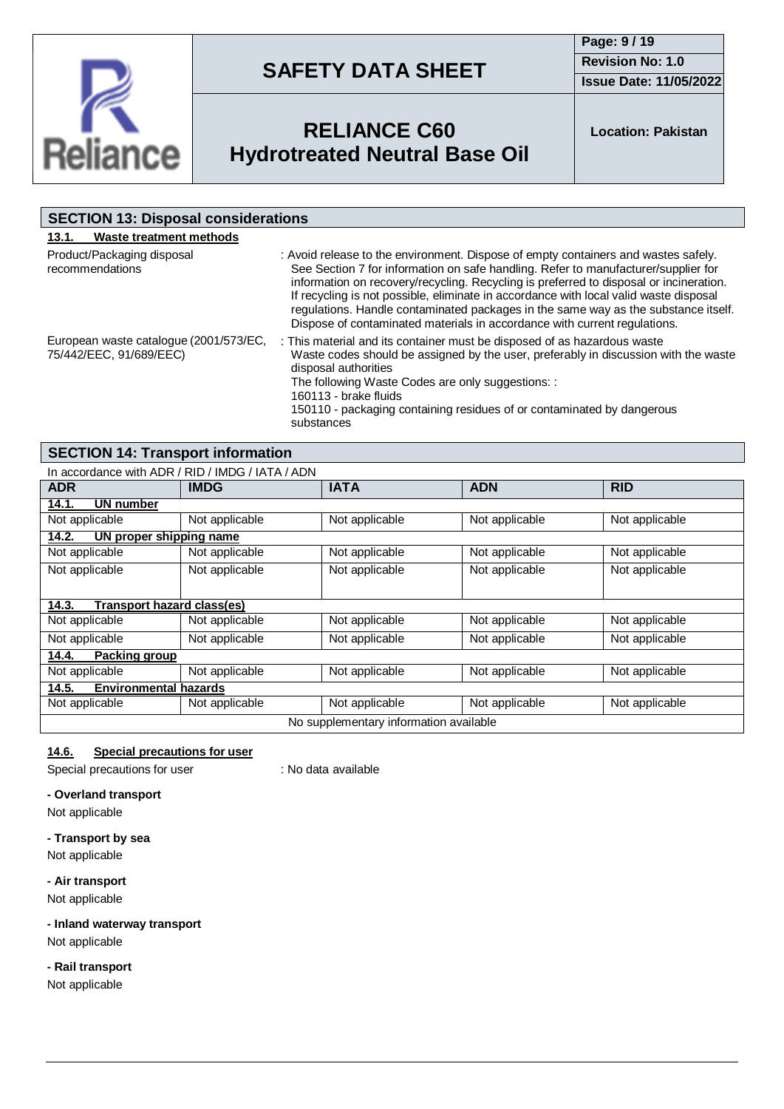

**Page: 9 / 19 Revision No: 1.0 Issue Date: 11/05/2022**



# **RELIANCE C60 Hydrotreated Neutral Base Oil**

**Location: Pakistan**

| <b>SECTION 13: Disposal considerations</b>                        |                                                                                                                                                                                                                                                                                                                                                                                                                                                                                                                                |  |  |
|-------------------------------------------------------------------|--------------------------------------------------------------------------------------------------------------------------------------------------------------------------------------------------------------------------------------------------------------------------------------------------------------------------------------------------------------------------------------------------------------------------------------------------------------------------------------------------------------------------------|--|--|
| Waste treatment methods<br>13.1.                                  |                                                                                                                                                                                                                                                                                                                                                                                                                                                                                                                                |  |  |
| Product/Packaging disposal<br>recommendations                     | : Avoid release to the environment. Dispose of empty containers and wastes safely.<br>See Section 7 for information on safe handling. Refer to manufacturer/supplier for<br>information on recovery/recycling. Recycling is preferred to disposal or incineration.<br>If recycling is not possible, eliminate in accordance with local valid waste disposal<br>regulations. Handle contaminated packages in the same way as the substance itself.<br>Dispose of contaminated materials in accordance with current regulations. |  |  |
| European waste catalogue (2001/573/EC,<br>75/442/EEC, 91/689/EEC) | : This material and its container must be disposed of as hazardous waste<br>Waste codes should be assigned by the user, preferably in discussion with the waste<br>disposal authorities<br>The following Waste Codes are only suggestions: :<br>160113 - brake fluids<br>150110 - packaging containing residues of or contaminated by dangerous<br>substances                                                                                                                                                                  |  |  |

## **SECTION 14: Transport information**

| In accordance with ADR / RID / IMDG / IATA / ADN |                |                |                |                |
|--------------------------------------------------|----------------|----------------|----------------|----------------|
| <b>ADR</b>                                       | <b>IMDG</b>    | <b>IATA</b>    | <b>ADN</b>     | <b>RID</b>     |
| 14.1.<br><b>UN number</b>                        |                |                |                |                |
| Not applicable                                   | Not applicable | Not applicable | Not applicable | Not applicable |
| UN proper shipping name<br>14.2.                 |                |                |                |                |
| Not applicable                                   | Not applicable | Not applicable | Not applicable | Not applicable |
| Not applicable                                   | Not applicable | Not applicable | Not applicable | Not applicable |
|                                                  |                |                |                |                |
| Transport hazard class(es)<br>14.3.              |                |                |                |                |
| Not applicable                                   | Not applicable | Not applicable | Not applicable | Not applicable |
| Not applicable                                   | Not applicable | Not applicable | Not applicable | Not applicable |
| 14.4.<br>Packing group                           |                |                |                |                |
| Not applicable                                   | Not applicable | Not applicable | Not applicable | Not applicable |
| <b>Environmental hazards</b><br>14.5.            |                |                |                |                |
| Not applicable                                   | Not applicable | Not applicable | Not applicable | Not applicable |
| No supplementary information available           |                |                |                |                |

### **14.6. Special precautions for user**

Special precautions for user : No data available

### **- Overland transport**

Not applicable

### **- Transport by sea**

Not applicable

### **- Air transport**

Not applicable

### **- Inland waterway transport**

Not applicable

### **- Rail transport**

Not applicable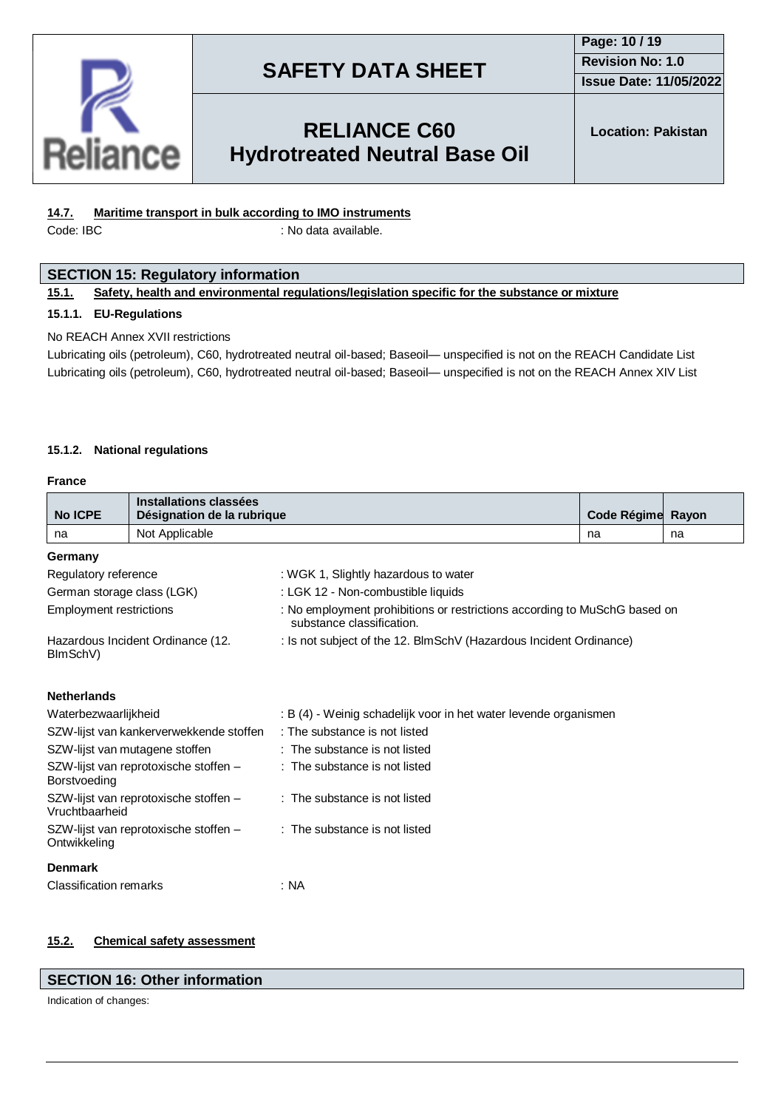

### **Page: 10 / 19 Revision No: 1.0 Issue Date: 11/05/2022**

# **RELIANCE C60 Hydrotreated Neutral Base Oil**

**Location: Pakistan**

### **14.7. Maritime transport in bulk according to IMO instruments**

Code: IBC : No data available.

### **SECTION 15: Regulatory information**

### **15.1. Safety, health and environmental regulations/legislation specific for the substance or mixture**

### **15.1.1. EU-Regulations**

### No REACH Annex XVII restrictions

Lubricating oils (petroleum), C60, hydrotreated neutral oil-based; Baseoil— unspecified is not on the REACH Candidate List Lubricating oils (petroleum), C60, hydrotreated neutral oil-based; Baseoil— unspecified is not on the REACH Annex XIV List

#### **15.1.2. National regulations**

#### **France**

|                                                       | Installations classées                                                 |                                                                                                        |                   |    |  |  |
|-------------------------------------------------------|------------------------------------------------------------------------|--------------------------------------------------------------------------------------------------------|-------------------|----|--|--|
| <b>No ICPE</b>                                        | Désignation de la rubrique                                             |                                                                                                        | Code Régime Rayon |    |  |  |
| na                                                    | Not Applicable                                                         |                                                                                                        | na                | na |  |  |
| Germany                                               |                                                                        |                                                                                                        |                   |    |  |  |
| Regulatory reference                                  |                                                                        | : WGK 1, Slightly hazardous to water                                                                   |                   |    |  |  |
| German storage class (LGK)                            |                                                                        | : LGK 12 - Non-combustible liquids                                                                     |                   |    |  |  |
| <b>Employment restrictions</b>                        |                                                                        | : No employment prohibitions or restrictions according to MuSchG based on<br>substance classification. |                   |    |  |  |
| BImSchV)                                              | Hazardous Incident Ordinance (12.                                      | : Is not subject of the 12. BlmSchV (Hazardous Incident Ordinance)                                     |                   |    |  |  |
| <b>Netherlands</b>                                    |                                                                        |                                                                                                        |                   |    |  |  |
| Waterbezwaarlijkheid                                  |                                                                        | : B (4) - Weinig schadelijk voor in het water levende organismen                                       |                   |    |  |  |
|                                                       | SZW-lijst van kankerverwekkende stoffen                                | : The substance is not listed                                                                          |                   |    |  |  |
| SZW-lijst van mutagene stoffen                        |                                                                        | : The substance is not listed                                                                          |                   |    |  |  |
| SZW-lijst van reprotoxische stoffen -<br>Borstvoeding |                                                                        | : The substance is not listed                                                                          |                   |    |  |  |
| Vruchtbaarheid                                        | : The substance is not listed<br>SZW-lijst van reprotoxische stoffen - |                                                                                                        |                   |    |  |  |
| Ontwikkeling                                          | SZW-lijst van reprotoxische stoffen -                                  | : The substance is not listed                                                                          |                   |    |  |  |
| <b>Denmark</b>                                        |                                                                        |                                                                                                        |                   |    |  |  |
| <b>Classification remarks</b>                         |                                                                        | : NA                                                                                                   |                   |    |  |  |

### **15.2. Chemical safety assessment**

### **SECTION 16: Other information**

Indication of changes: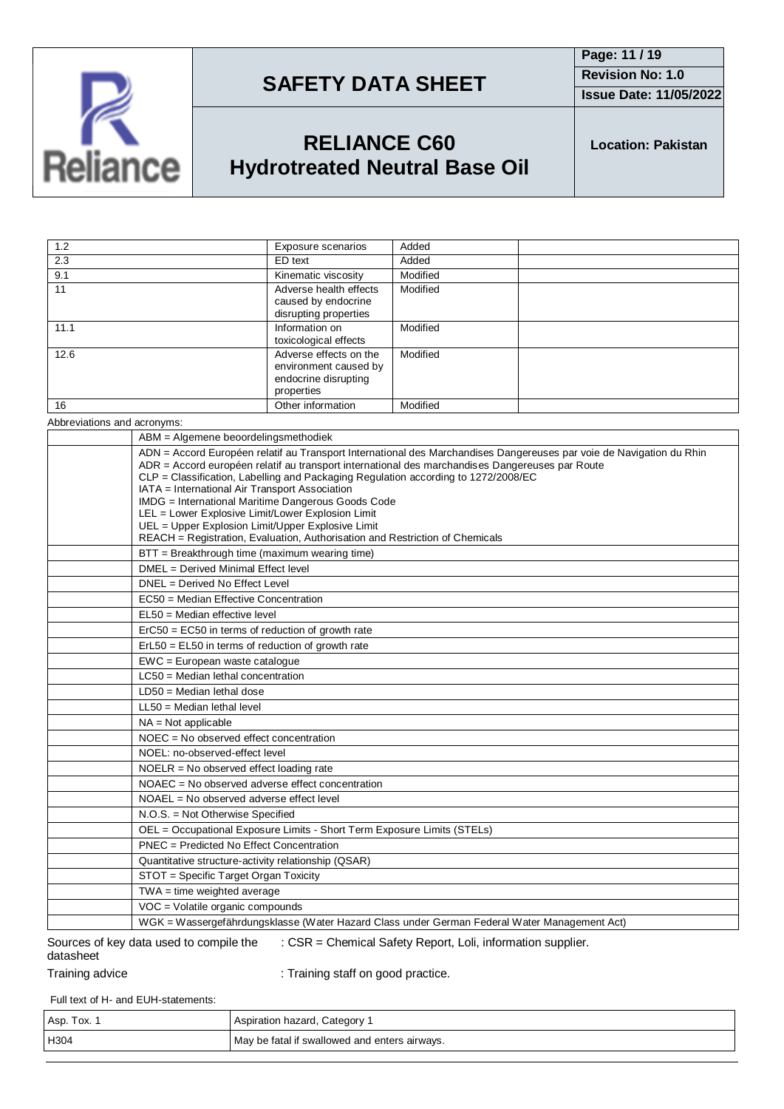

**Page: 11 / 19 Revision No: 1.0 Issue Date: 11/05/2022**

# **RELIANCE C60 Hydrotreated Neutral Base Oil**

**Location: Pakistan**

| 1.2  | Exposure scenarios                                                                    | Added    |
|------|---------------------------------------------------------------------------------------|----------|
| 2.3  | ED text                                                                               | Added    |
| 9.1  | Kinematic viscosity                                                                   | Modified |
| 11   | Adverse health effects<br>caused by endocrine<br>disrupting properties                | Modified |
| 11.1 | Information on<br>toxicological effects                                               | Modified |
| 12.6 | Adverse effects on the<br>environment caused by<br>endocrine disrupting<br>properties | Modified |
| 16   | Other information                                                                     | Modified |
|      |                                                                                       |          |

Abbreviations and acronyms:

| ABM = Algemene beoordelingsmethodiek                                                                                                                                                                                                                                                                                                                                                                                                                                                                                                                                                                            |
|-----------------------------------------------------------------------------------------------------------------------------------------------------------------------------------------------------------------------------------------------------------------------------------------------------------------------------------------------------------------------------------------------------------------------------------------------------------------------------------------------------------------------------------------------------------------------------------------------------------------|
| ADN = Accord Européen relatif au Transport International des Marchandises Dangereuses par voie de Navigation du Rhin<br>ADR = Accord européen relatif au transport international des marchandises Dangereuses par Route<br>CLP = Classification, Labelling and Packaging Regulation according to 1272/2008/EC<br>IATA = International Air Transport Association<br>IMDG = International Maritime Dangerous Goods Code<br>LEL = Lower Explosive Limit/Lower Explosion Limit<br>UEL = Upper Explosion Limit/Upper Explosive Limit<br>REACH = Registration, Evaluation, Authorisation and Restriction of Chemicals |
| BTT = Breakthrough time (maximum wearing time)                                                                                                                                                                                                                                                                                                                                                                                                                                                                                                                                                                  |
| DMEL = Derived Minimal Effect level                                                                                                                                                                                                                                                                                                                                                                                                                                                                                                                                                                             |
| DNEL = Derived No Effect Level                                                                                                                                                                                                                                                                                                                                                                                                                                                                                                                                                                                  |
| EC50 = Median Effective Concentration                                                                                                                                                                                                                                                                                                                                                                                                                                                                                                                                                                           |
| EL50 = Median effective level                                                                                                                                                                                                                                                                                                                                                                                                                                                                                                                                                                                   |
| ErC50 = EC50 in terms of reduction of growth rate                                                                                                                                                                                                                                                                                                                                                                                                                                                                                                                                                               |
| $ErL50 = EL50$ in terms of reduction of growth rate                                                                                                                                                                                                                                                                                                                                                                                                                                                                                                                                                             |
| $EWC = European waste catalogue$                                                                                                                                                                                                                                                                                                                                                                                                                                                                                                                                                                                |
| LC50 = Median lethal concentration                                                                                                                                                                                                                                                                                                                                                                                                                                                                                                                                                                              |
| $LD50 = Median$ lethal dose                                                                                                                                                                                                                                                                                                                                                                                                                                                                                                                                                                                     |
| $LL50$ = Median lethal level                                                                                                                                                                                                                                                                                                                                                                                                                                                                                                                                                                                    |
| $NA = Not applicable$                                                                                                                                                                                                                                                                                                                                                                                                                                                                                                                                                                                           |
| NOEC = No observed effect concentration                                                                                                                                                                                                                                                                                                                                                                                                                                                                                                                                                                         |
| NOEL: no-observed-effect level                                                                                                                                                                                                                                                                                                                                                                                                                                                                                                                                                                                  |
| $NOELR = No observed effect loading rate$                                                                                                                                                                                                                                                                                                                                                                                                                                                                                                                                                                       |
| NOAEC = No observed adverse effect concentration                                                                                                                                                                                                                                                                                                                                                                                                                                                                                                                                                                |
| $NOAEL = No observed adverse effect level$                                                                                                                                                                                                                                                                                                                                                                                                                                                                                                                                                                      |
| N.O.S. = Not Otherwise Specified                                                                                                                                                                                                                                                                                                                                                                                                                                                                                                                                                                                |
| OEL = Occupational Exposure Limits - Short Term Exposure Limits (STELs)                                                                                                                                                                                                                                                                                                                                                                                                                                                                                                                                         |
| PNEC = Predicted No Effect Concentration                                                                                                                                                                                                                                                                                                                                                                                                                                                                                                                                                                        |
| Quantitative structure-activity relationship (QSAR)                                                                                                                                                                                                                                                                                                                                                                                                                                                                                                                                                             |
| STOT = Specific Target Organ Toxicity                                                                                                                                                                                                                                                                                                                                                                                                                                                                                                                                                                           |
| $TWA = time weighted average$                                                                                                                                                                                                                                                                                                                                                                                                                                                                                                                                                                                   |
| VOC = Volatile organic compounds                                                                                                                                                                                                                                                                                                                                                                                                                                                                                                                                                                                |
| WGK = Wassergefährdungsklasse (Water Hazard Class under German Federal Water Management Act)                                                                                                                                                                                                                                                                                                                                                                                                                                                                                                                    |

#### Sources of key data used to compile the datasheet : CSR = Chemical Safety Report, Loli, information supplier.

Training advice **in the state of the Contract** : Training staff on good practice.

Full text of H- and EUH-statements:

| Asp. Tox. | Aspiration hazard, Category 1                 |
|-----------|-----------------------------------------------|
| H304      | May be fatal if swallowed and enters airways. |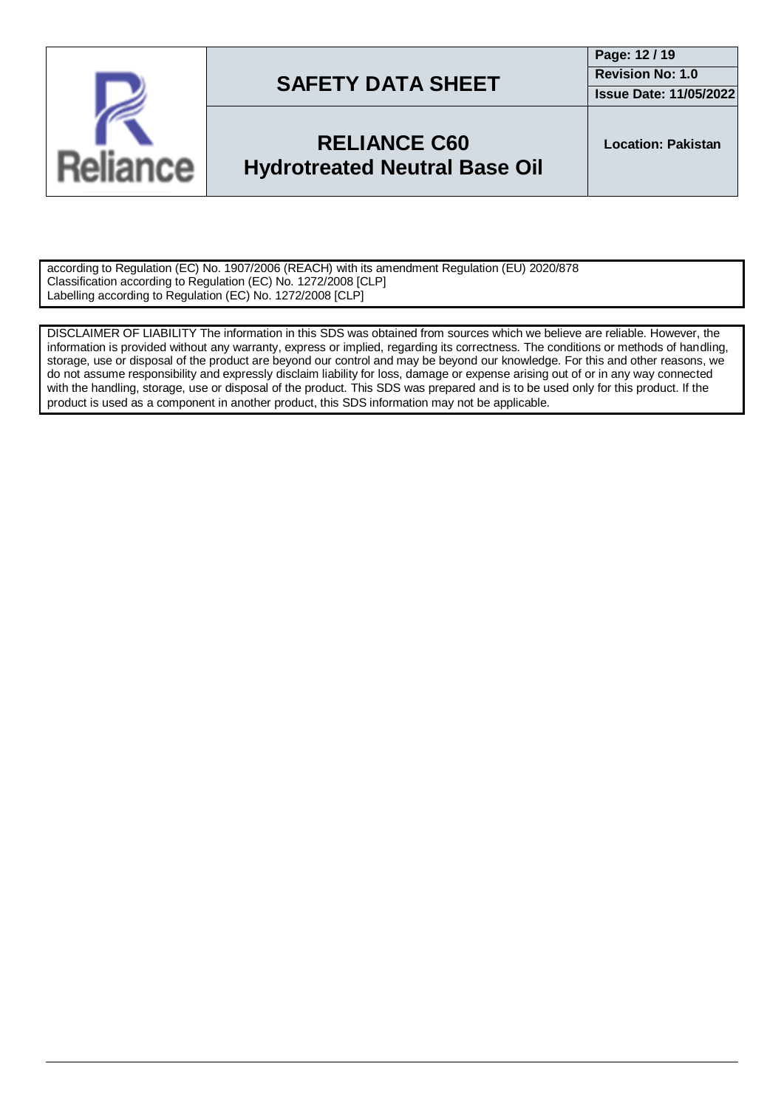

## **RELIANCE C60 Hydrotreated Neutral Base Oil**

**Location: Pakistan**

according to Regulation (EC) No. 1907/2006 (REACH) with its amendment Regulation (EU) 2020/878 Classification according to Regulation (EC) No. 1272/2008 [CLP] Labelling according to Regulation (EC) No. 1272/2008 [CLP]

DISCLAIMER OF LIABILITY The information in this SDS was obtained from sources which we believe are reliable. However, the information is provided without any warranty, express or implied, regarding its correctness. The conditions or methods of handling, storage, use or disposal of the product are beyond our control and may be beyond our knowledge. For this and other reasons, we do not assume responsibility and expressly disclaim liability for loss, damage or expense arising out of or in any way connected with the handling, storage, use or disposal of the product. This SDS was prepared and is to be used only for this product. If the product is used as a component in another product, this SDS information may not be applicable.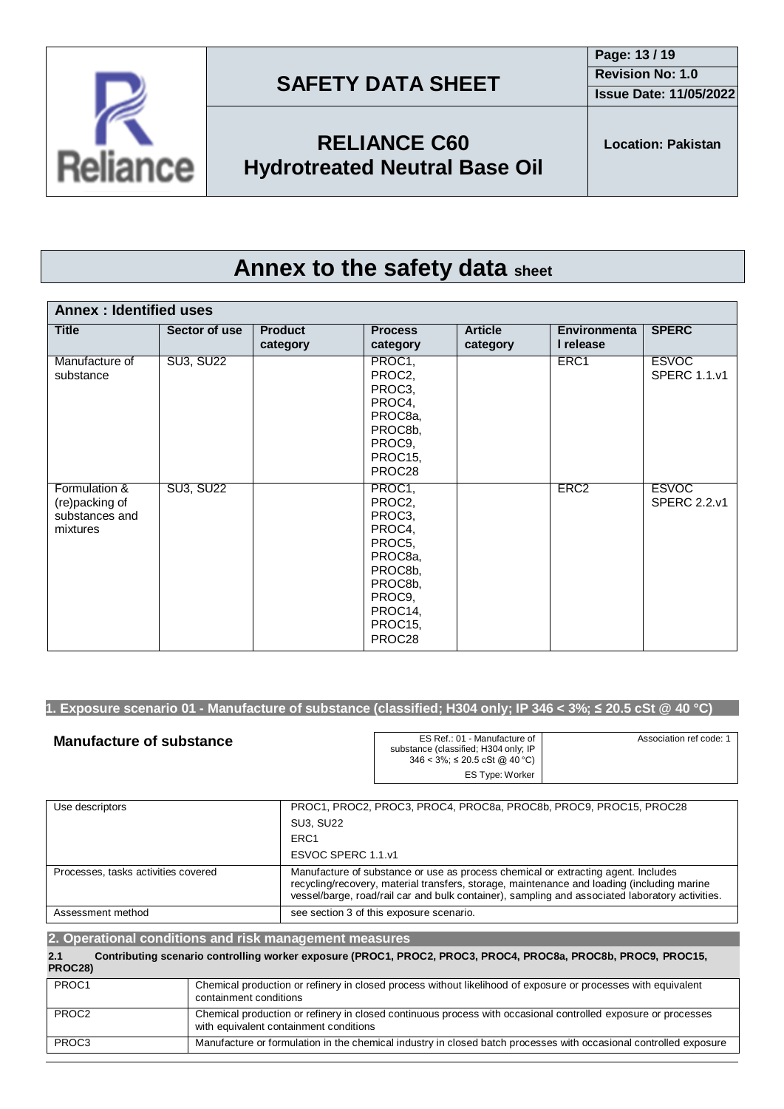**Issue Date: 11/05/2022**



# **RELIANCE C60 Hydrotreated Neutral Base Oil**

# **Annex to the safety data sheet**

| <b>Annex: Identified uses</b>                                 |                  |                            |                                                                                                                           |                            |                                  |                                     |
|---------------------------------------------------------------|------------------|----------------------------|---------------------------------------------------------------------------------------------------------------------------|----------------------------|----------------------------------|-------------------------------------|
| <b>Title</b>                                                  | Sector of use    | <b>Product</b><br>category | <b>Process</b><br>category                                                                                                | <b>Article</b><br>category | <b>Environmenta</b><br>I release | <b>SPERC</b>                        |
| Manufacture of<br>substance                                   | <b>SU3, SU22</b> |                            | PROC1,<br>PROC2,<br>PROC3,<br>PROC4,<br>PROC8a,<br>PROC8b,<br>PROC9,<br>PROC15,<br>PROC28                                 |                            | ERC1                             | <b>ESVOC</b><br><b>SPERC 1.1.v1</b> |
| Formulation &<br>(re)packing of<br>substances and<br>mixtures | <b>SU3, SU22</b> |                            | PROC1,<br>PROC2,<br>PROC3,<br>PROC4,<br>PROC5,<br>PROC8a,<br>PROC8b,<br>PROC8b,<br>PROC9,<br>PROC14,<br>PROC15,<br>PROC28 |                            | ERC <sub>2</sub>                 | <b>ESVOC</b><br><b>SPERC 2.2.v1</b> |

### 1. Exposure scenario 01 - Manufacture of substance (classified; H304 only; IP 346 < 3%;  $\leq$  20.5 cSt @ 40 °C)

| <b>Manufacture of substance</b> | ES Ref.: 01 - Manufacture of<br>substance (classified; H304 only; IP<br>$346 < 3\%$ ; $\leq 20.5$ cSt @ 40 °C) | Association ref code: 1 |
|---------------------------------|----------------------------------------------------------------------------------------------------------------|-------------------------|
|                                 | ES Type: Worker                                                                                                |                         |

| Use descriptors                     | PROC1, PROC2, PROC3, PROC4, PROC8a, PROC8b, PROC9, PROC15, PROC28                                                                                                                                                                                                                  |
|-------------------------------------|------------------------------------------------------------------------------------------------------------------------------------------------------------------------------------------------------------------------------------------------------------------------------------|
|                                     | <b>SU3. SU22</b>                                                                                                                                                                                                                                                                   |
|                                     | ERC <sub>1</sub>                                                                                                                                                                                                                                                                   |
|                                     | ESVOC SPERC 1.1.v1                                                                                                                                                                                                                                                                 |
| Processes, tasks activities covered | Manufacture of substance or use as process chemical or extracting agent. Includes<br>recycling/recovery, material transfers, storage, maintenance and loading (including marine<br>vessel/barge, road/rail car and bulk container), sampling and associated laboratory activities. |
| Assessment method                   | see section 3 of this exposure scenario.                                                                                                                                                                                                                                           |

| 2. Operational conditions and risk management measures |  |                                                                                                                                                         |
|--------------------------------------------------------|--|---------------------------------------------------------------------------------------------------------------------------------------------------------|
| 2.1<br>PROC28)                                         |  | Contributing scenario controlling worker exposure (PROC1, PROC2, PROC3, PROC4, PROC8a, PROC8b, PROC9, PROC15,                                           |
| PROC1                                                  |  | Chemical production or refinery in closed process without likelihood of exposure or processes with equivalent<br>containment conditions                 |
| PROC <sub>2</sub>                                      |  | Chemical production or refinery in closed continuous process with occasional controlled exposure or processes<br>with equivalent containment conditions |
| PROC3                                                  |  | Manufacture or formulation in the chemical industry in closed batch processes with occasional controlled exposure                                       |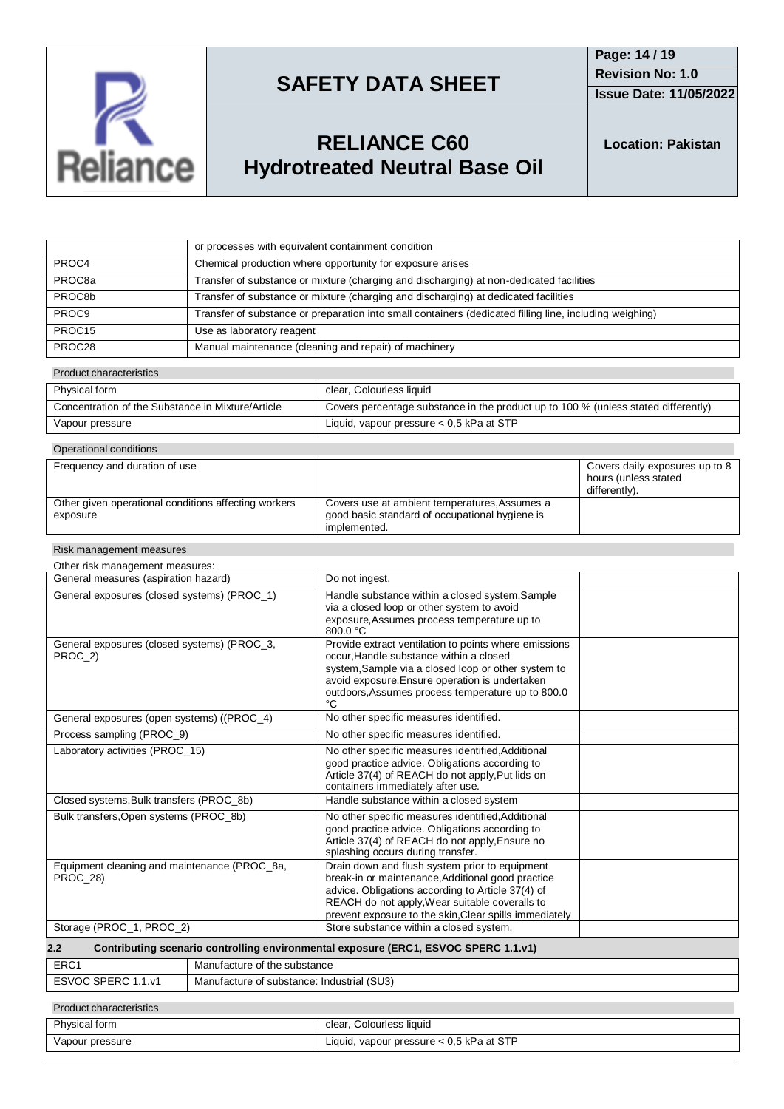

**Issue Date: 11/05/2022**

# **RELIANCE C60 Hydrotreated Neutral Base Oil**

**Location: Pakistan**

|                    | or processes with equivalent containment condition                                                      |
|--------------------|---------------------------------------------------------------------------------------------------------|
| PROC4              | Chemical production where opportunity for exposure arises                                               |
| PROC8a             | Transfer of substance or mixture (charging and discharging) at non-dedicated facilities                 |
| PROC8b             | Transfer of substance or mixture (charging and discharging) at dedicated facilities                     |
| PROC <sub>9</sub>  | Transfer of substance or preparation into small containers (dedicated filling line, including weighing) |
| PROC <sub>15</sub> | Use as laboratory reagent                                                                               |
| PROC28             | Manual maintenance (cleaning and repair) of machinery                                                   |

#### Product characteristics

| Physical form                                     | clear, Colourless liquid                                                           |
|---------------------------------------------------|------------------------------------------------------------------------------------|
| Concentration of the Substance in Mixture/Article | Covers percentage substance in the product up to 100 % (unless stated differently) |
| Vapour pressure                                   | Liquid, vapour pressure $< 0.5$ kPa at STP                                         |

| Operational conditions                                           |                                                                                                                 |                                                                         |
|------------------------------------------------------------------|-----------------------------------------------------------------------------------------------------------------|-------------------------------------------------------------------------|
| Frequency and duration of use                                    |                                                                                                                 | Covers daily exposures up to 8<br>hours (unless stated<br>differently). |
| Other given operational conditions affecting workers<br>exposure | Covers use at ambient temperatures, Assumes a<br>good basic standard of occupational hygiene is<br>implemented. |                                                                         |

#### Risk management measures

| Other risk management measures:                                                            |                                                                                                                                                                                                                                                                      |  |
|--------------------------------------------------------------------------------------------|----------------------------------------------------------------------------------------------------------------------------------------------------------------------------------------------------------------------------------------------------------------------|--|
| General measures (aspiration hazard)                                                       | Do not ingest.                                                                                                                                                                                                                                                       |  |
| General exposures (closed systems) (PROC_1)                                                | Handle substance within a closed system, Sample<br>via a closed loop or other system to avoid<br>exposure, Assumes process temperature up to<br>$800.0 \text{ °C}$                                                                                                   |  |
| General exposures (closed systems) (PROC_3,<br>PROC 2)                                     | Provide extract ventilation to points where emissions<br>occur, Handle substance within a closed<br>system, Sample via a closed loop or other system to<br>avoid exposure, Ensure operation is undertaken<br>outdoors, Assumes process temperature up to 800.0<br>°C |  |
| General exposures (open systems) ((PROC_4)                                                 | No other specific measures identified.                                                                                                                                                                                                                               |  |
| Process sampling (PROC_9)                                                                  | No other specific measures identified.                                                                                                                                                                                                                               |  |
| Laboratory activities (PROC 15)                                                            | No other specific measures identified, Additional<br>good practice advice. Obligations according to<br>Article 37(4) of REACH do not apply, Put lids on<br>containers immediately after use.                                                                         |  |
| Closed systems, Bulk transfers (PROC 8b)                                                   | Handle substance within a closed system                                                                                                                                                                                                                              |  |
| Bulk transfers, Open systems (PROC_8b)                                                     | No other specific measures identified, Additional<br>good practice advice. Obligations according to<br>Article 37(4) of REACH do not apply, Ensure no<br>splashing occurs during transfer.                                                                           |  |
| Equipment cleaning and maintenance (PROC 8a,<br><b>PROC 28)</b>                            | Drain down and flush system prior to equipment<br>break-in or maintenance, Additional good practice<br>advice. Obligations according to Article 37(4) of<br>REACH do not apply, Wear suitable coveralls to<br>prevent exposure to the skin, Clear spills immediately |  |
| Storage (PROC_1, PROC_2)                                                                   | Store substance within a closed system.                                                                                                                                                                                                                              |  |
| Contributing scenario controlling environmental exposure (ERC1, ESVOC SPERC 1.1.v1)<br>2.2 |                                                                                                                                                                                                                                                                      |  |
| ED <sub>C</sub> <sub>1</sub><br>Monufacture of the qubetance                               |                                                                                                                                                                                                                                                                      |  |

| ERC <sup>.</sup>                             | Manufacture of the substance               |
|----------------------------------------------|--------------------------------------------|
| <b>ESVOC SPERC</b><br>. . 1 . v <sup>-</sup> | Manufacture of substance: Industrial (SU3) |
|                                              |                                            |

### Product characteristics

| Physical form   | clear, Colourless liquid                   |
|-----------------|--------------------------------------------|
| Vapour pressure | Liquid, vapour pressure $< 0.5$ kPa at STP |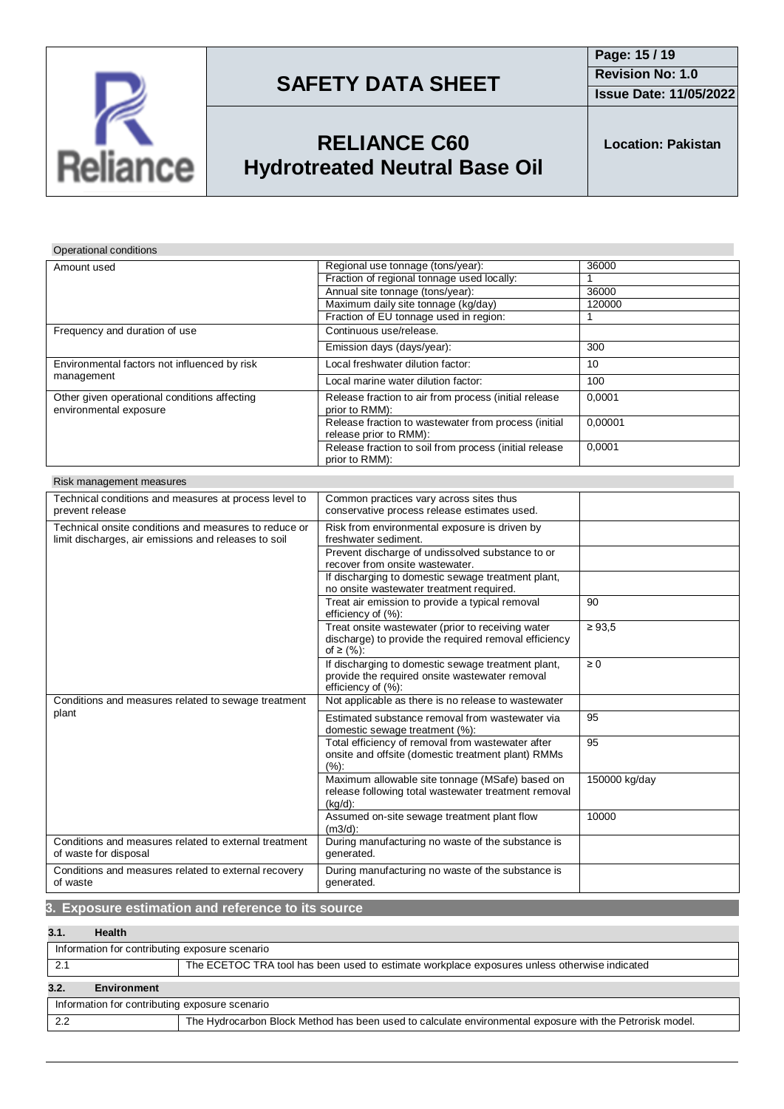

**Issue Date: 11/05/2022**

# **RELIANCE C60 Hydrotreated Neutral Base Oil**

**Location: Pakistan**

## Operational conditions

| Amount used                                                                                                                          | Regional use tonnage (tons/year):                                              | 36000   |
|--------------------------------------------------------------------------------------------------------------------------------------|--------------------------------------------------------------------------------|---------|
|                                                                                                                                      | Fraction of regional tonnage used locally:                                     |         |
|                                                                                                                                      | Annual site tonnage (tons/year):                                               | 36000   |
|                                                                                                                                      | Maximum daily site tonnage (kg/day)                                            | 120000  |
|                                                                                                                                      | Fraction of EU tonnage used in region:                                         |         |
| Frequency and duration of use                                                                                                        | Continuous use/release.                                                        |         |
| Environmental factors not influenced by risk<br>management<br>Other given operational conditions affecting<br>environmental exposure | Emission days (days/year):                                                     | 300     |
|                                                                                                                                      | Local freshwater dilution factor:                                              | 10      |
|                                                                                                                                      | Local marine water dilution factor:                                            | 100     |
|                                                                                                                                      | Release fraction to air from process (initial release<br>prior to RMM):        | 0.0001  |
|                                                                                                                                      | Release fraction to wastewater from process (initial<br>release prior to RMM): | 0,00001 |
|                                                                                                                                      | Release fraction to soil from process (initial release<br>prior to RMM):       | 0,0001  |

| Risk management measures |  |
|--------------------------|--|
|--------------------------|--|

| Technical conditions and measures at process level to<br>prevent release                                      | Common practices vary across sites thus<br>conservative process release estimates used.                                    |               |
|---------------------------------------------------------------------------------------------------------------|----------------------------------------------------------------------------------------------------------------------------|---------------|
| Technical onsite conditions and measures to reduce or<br>limit discharges, air emissions and releases to soil | Risk from environmental exposure is driven by<br>freshwater sediment.                                                      |               |
|                                                                                                               | Prevent discharge of undissolved substance to or<br>recover from onsite wastewater.                                        |               |
|                                                                                                               | If discharging to domestic sewage treatment plant,<br>no onsite wastewater treatment required.                             |               |
|                                                                                                               | Treat air emission to provide a typical removal<br>efficiency of (%):                                                      | 90            |
|                                                                                                               | Treat onsite wastewater (prior to receiving water<br>discharge) to provide the required removal efficiency<br>of ≥ $(%):$  | $\geq 93.5$   |
|                                                                                                               | If discharging to domestic sewage treatment plant,<br>provide the required onsite wastewater removal<br>efficiency of (%): | $\geq 0$      |
| Conditions and measures related to sewage treatment                                                           | Not applicable as there is no release to wastewater                                                                        |               |
| plant                                                                                                         | Estimated substance removal from wastewater via<br>domestic sewage treatment (%):                                          | 95            |
|                                                                                                               | Total efficiency of removal from wastewater after<br>onsite and offsite (domestic treatment plant) RMMs<br>$(\%).$         | 95            |
|                                                                                                               | Maximum allowable site tonnage (MSafe) based on<br>release following total wastewater treatment removal<br>$(kq/d)$ :      | 150000 kg/day |
|                                                                                                               | Assumed on-site sewage treatment plant flow<br>$(m3/d)$ :                                                                  | 10000         |
| Conditions and measures related to external treatment<br>of waste for disposal                                | During manufacturing no waste of the substance is<br>generated.                                                            |               |
| Conditions and measures related to external recovery<br>of waste                                              | During manufacturing no waste of the substance is<br>generated.                                                            |               |

### **3. Exposure estimation and reference to its source**

### **3.1. Health**

| Information for contributing exposure scenario |                                                                                                          |  |
|------------------------------------------------|----------------------------------------------------------------------------------------------------------|--|
|                                                | The ECETOC TRA tool has been used to estimate workplace exposures unless otherwise indicated             |  |
| 3.2.<br><b>Environment</b>                     |                                                                                                          |  |
| Information for contributing exposure scenario |                                                                                                          |  |
| 2.2                                            | The Hydrocarbon Block Method has been used to calculate environmental exposure with the Petrorisk model. |  |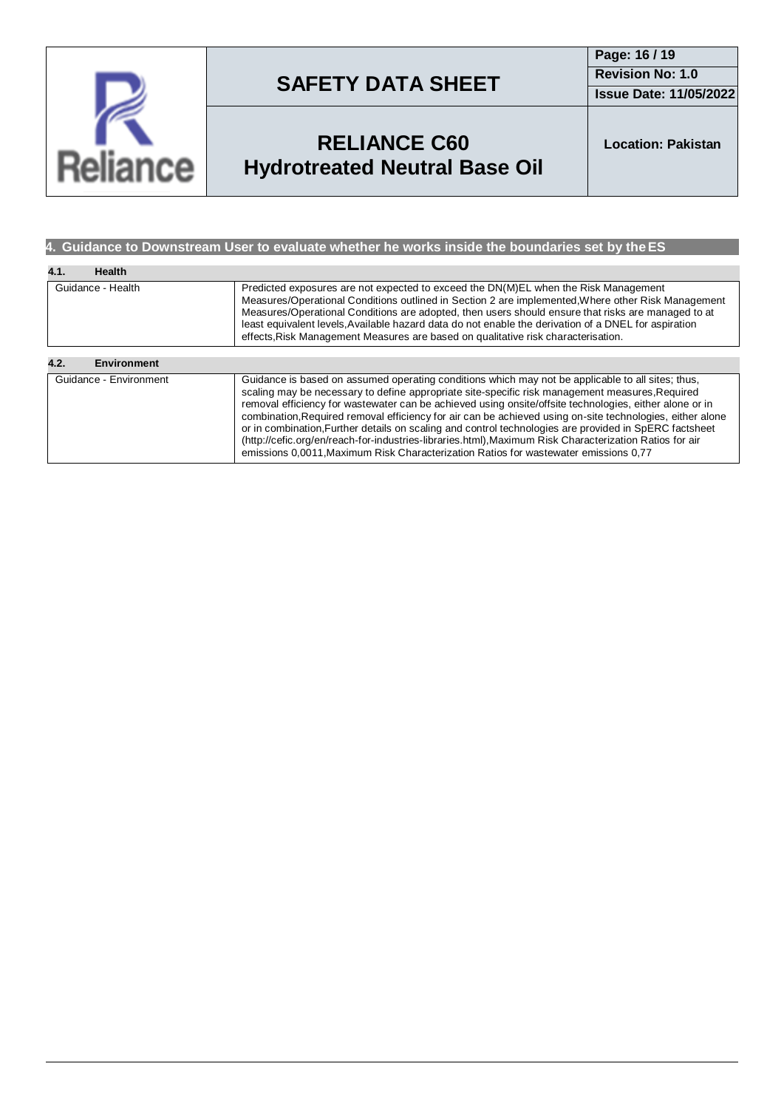

**Page: 16 / 19 Revision No: 1.0**

**Issue Date: 11/05/2022**

# **RELIANCE C60 Hydrotreated Neutral Base Oil**

**Location: Pakistan**

### **4. Guidance to Downstream User to evaluate whether he works inside the boundaries set by theES**

| 4.1.<br>Health             |                                                                                                                                                                                                                                                                                                                                                                                                                                                                                                                                                                                                                                                                                                                                           |
|----------------------------|-------------------------------------------------------------------------------------------------------------------------------------------------------------------------------------------------------------------------------------------------------------------------------------------------------------------------------------------------------------------------------------------------------------------------------------------------------------------------------------------------------------------------------------------------------------------------------------------------------------------------------------------------------------------------------------------------------------------------------------------|
| Guidance - Health          | Predicted exposures are not expected to exceed the DN(M)EL when the Risk Management<br>Measures/Operational Conditions outlined in Section 2 are implemented. Where other Risk Management<br>Measures/Operational Conditions are adopted, then users should ensure that risks are managed to at<br>least equivalent levels. Available hazard data do not enable the derivation of a DNEL for aspiration<br>effects, Risk Management Measures are based on qualitative risk characterisation.                                                                                                                                                                                                                                              |
|                            |                                                                                                                                                                                                                                                                                                                                                                                                                                                                                                                                                                                                                                                                                                                                           |
| 4.2.<br><b>Environment</b> |                                                                                                                                                                                                                                                                                                                                                                                                                                                                                                                                                                                                                                                                                                                                           |
| Guidance - Environment     | Guidance is based on assumed operating conditions which may not be applicable to all sites; thus,<br>scaling may be necessary to define appropriate site-specific risk management measures, Required<br>removal efficiency for wastewater can be achieved using onsite/offsite technologies, either alone or in<br>combination, Required removal efficiency for air can be achieved using on-site technologies, either alone<br>or in combination. Further details on scaling and control technologies are provided in SpERC factsheet<br>(http://cefic.org/en/reach-for-industries-libraries.html), Maximum Risk Characterization Ratios for air<br>emissions 0,0011, Maximum Risk Characterization Ratios for wastewater emissions 0,77 |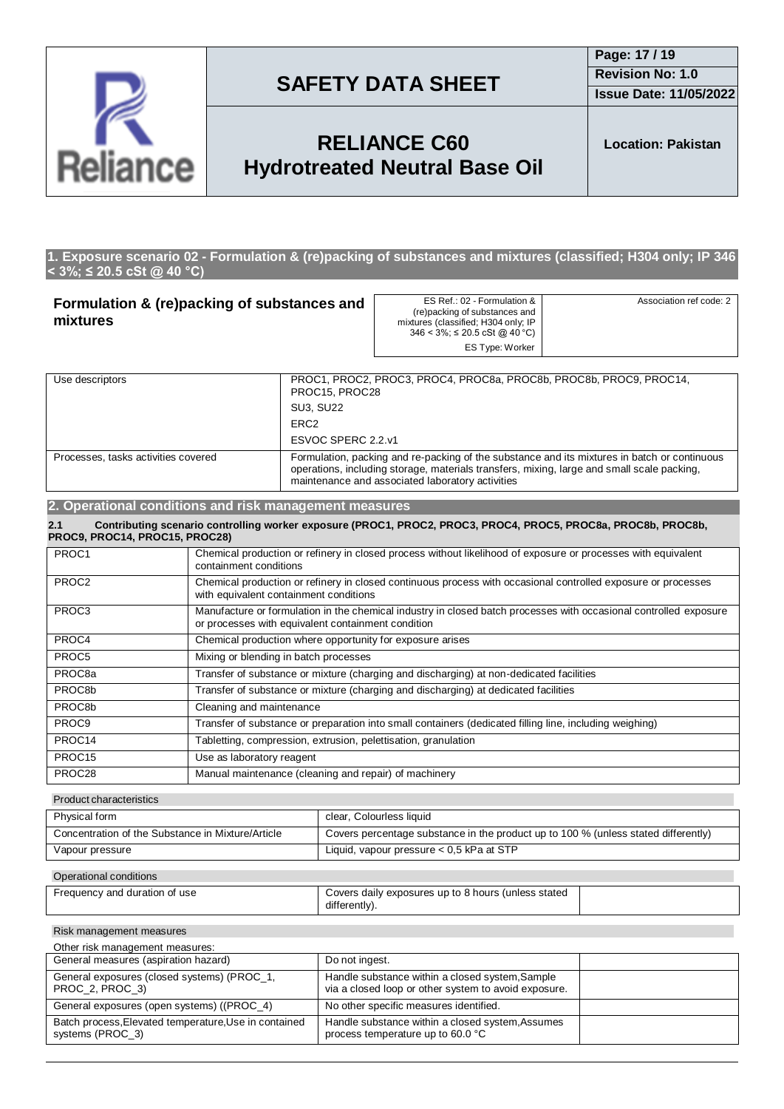

**Issue Date: 11/05/2022**

## **RELIANCE C60 Hydrotreated Neutral Base Oil**

**Location: Pakistan**

### **1. Exposure scenario 02 - Formulation & (re)packing of substances and mixtures (classified; H304 only; IP 346 < 3%; ≤ 20.5 cSt @ 40 °C)**

| Formulation & (re)packing of substances and<br>mixtures                                                                                                                                                                                                                               |                                                                                                                                                                         | ES Ref.: 02 - Formulation &<br>(re)packing of substances and<br>mixtures (classified; H304 only; IP<br>$346 < 3\%$ ; $\leq 20.5$ cSt @ 40 °C)<br><b>ES Type: Worker</b> | Association ref code: 2 |
|---------------------------------------------------------------------------------------------------------------------------------------------------------------------------------------------------------------------------------------------------------------------------------------|-------------------------------------------------------------------------------------------------------------------------------------------------------------------------|-------------------------------------------------------------------------------------------------------------------------------------------------------------------------|-------------------------|
| Use descriptors<br>PROC15, PROC28                                                                                                                                                                                                                                                     |                                                                                                                                                                         | PROC1, PROC2, PROC3, PROC4, PROC8a, PROC8b, PROC8b, PROC9, PROC14,                                                                                                      |                         |
|                                                                                                                                                                                                                                                                                       | <b>SU3. SU22</b>                                                                                                                                                        |                                                                                                                                                                         |                         |
| ERC <sub>2</sub>                                                                                                                                                                                                                                                                      |                                                                                                                                                                         |                                                                                                                                                                         |                         |
| ESVOC SPERC 2.2.v1                                                                                                                                                                                                                                                                    |                                                                                                                                                                         |                                                                                                                                                                         |                         |
| Formulation, packing and re-packing of the substance and its mixtures in batch or continuous<br>Processes, tasks activities covered<br>operations, including storage, materials transfers, mixing, large and small scale packing,<br>maintenance and associated laboratory activities |                                                                                                                                                                         |                                                                                                                                                                         |                         |
| 2. Operational conditions and risk management measures                                                                                                                                                                                                                                |                                                                                                                                                                         |                                                                                                                                                                         |                         |
| 2.1<br>PROC9, PROC14, PROC15, PROC28)                                                                                                                                                                                                                                                 |                                                                                                                                                                         | Contributing scenario controlling worker exposure (PROC1, PROC2, PROC3, PROC4, PROC5, PROC8a, PROC8b, PROC8b,                                                           |                         |
| PROC1                                                                                                                                                                                                                                                                                 | Chemical production or refinery in closed process without likelihood of exposure or processes with equivalent<br>containment conditions                                 |                                                                                                                                                                         |                         |
| PROC <sub>2</sub>                                                                                                                                                                                                                                                                     | Chemical production or refinery in closed continuous process with occasional controlled exposure or processes<br>with equivalent containment conditions                 |                                                                                                                                                                         |                         |
| PROC <sub>3</sub>                                                                                                                                                                                                                                                                     | Manufacture or formulation in the chemical industry in closed batch processes with occasional controlled exposure<br>or processes with equivalent containment condition |                                                                                                                                                                         |                         |
| PROC4                                                                                                                                                                                                                                                                                 | Chemical production where opportunity for exposure arises                                                                                                               |                                                                                                                                                                         |                         |
| PROC5                                                                                                                                                                                                                                                                                 | Mixing or blending in batch processes                                                                                                                                   |                                                                                                                                                                         |                         |

PROC8a Transfer of substance or mixture (charging and discharging) at non-dedicated facilities PROC8b Transfer of substance or mixture (charging and discharging) at dedicated facilities PROC8b Cleaning and maintenance PROC9 Transfer of substance or preparation into small containers (dedicated filling line, including weighing) PROC14 Tabletting, compression, extrusion, pelettisation, granulation PROC15 Use as laboratory reagent **PROC28** Manual maintenance (cleaning and repair) of machinery

### Product characteristics

| Concentration of the Substance in Mixture/Article<br>Covers percentage substance in the product up to 100 % (unless stated differently)<br>Liquid, vapour pressure $< 0.5$ kPa at STP<br>Vapour pressure | Physical form | clear, Colourless liquid |
|----------------------------------------------------------------------------------------------------------------------------------------------------------------------------------------------------------|---------------|--------------------------|
|                                                                                                                                                                                                          |               |                          |
|                                                                                                                                                                                                          |               |                          |

#### Operational conditions

| Frequency and duration of use | Covers daily exposures up to 8 hours (unless stated |  |
|-------------------------------|-----------------------------------------------------|--|
|                               | differently).                                       |  |

#### Risk management measures

| Other risk management measures:                                           |                                                                                                         |  |
|---------------------------------------------------------------------------|---------------------------------------------------------------------------------------------------------|--|
| General measures (aspiration hazard)                                      | Do not ingest.                                                                                          |  |
| General exposures (closed systems) (PROC_1,<br>PROC 2, PROC 3)            | Handle substance within a closed system, Sample<br>via a closed loop or other system to avoid exposure. |  |
| General exposures (open systems) ((PROC_4)                                | No other specific measures identified.                                                                  |  |
| Batch process, Elevated temperature, Use in contained<br>systems (PROC_3) | Handle substance within a closed system, Assumes<br>process temperature up to 60.0 °C                   |  |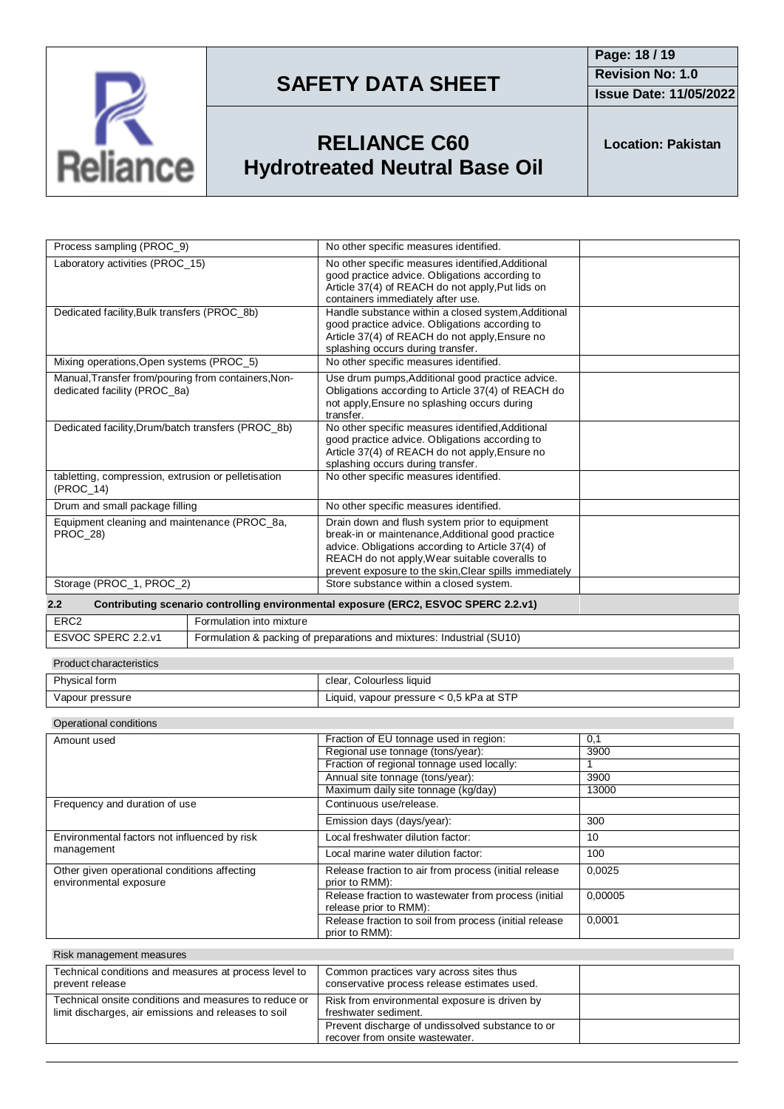

**Issue Date: 11/05/2022**

# **RELIANCE C60 Hydrotreated Neutral Base Oil**

**Location: Pakistan**

| Process sampling (PROC_9)                                                           |                                                                       | No other specific measures identified.                                                                                                                                                                                                                               |              |
|-------------------------------------------------------------------------------------|-----------------------------------------------------------------------|----------------------------------------------------------------------------------------------------------------------------------------------------------------------------------------------------------------------------------------------------------------------|--------------|
| Laboratory activities (PROC 15)                                                     |                                                                       | No other specific measures identified, Additional<br>good practice advice. Obligations according to<br>Article 37(4) of REACH do not apply, Put lids on<br>containers immediately after use.                                                                         |              |
| Dedicated facility, Bulk transfers (PROC_8b)                                        |                                                                       | Handle substance within a closed system, Additional<br>good practice advice. Obligations according to<br>Article 37(4) of REACH do not apply, Ensure no<br>splashing occurs during transfer.                                                                         |              |
| Mixing operations, Open systems (PROC_5)                                            |                                                                       | No other specific measures identified.                                                                                                                                                                                                                               |              |
| Manual, Transfer from/pouring from containers, Non-<br>dedicated facility (PROC 8a) |                                                                       | Use drum pumps, Additional good practice advice.<br>Obligations according to Article 37(4) of REACH do<br>not apply, Ensure no splashing occurs during<br>transfer.                                                                                                  |              |
| Dedicated facility, Drum/batch transfers (PROC_8b)                                  |                                                                       | No other specific measures identified, Additional<br>good practice advice. Obligations according to<br>Article 37(4) of REACH do not apply, Ensure no<br>splashing occurs during transfer.                                                                           |              |
| tabletting, compression, extrusion or pelletisation<br>$(PROC_14)$                  |                                                                       | No other specific measures identified.                                                                                                                                                                                                                               |              |
| Drum and small package filling                                                      |                                                                       | No other specific measures identified.                                                                                                                                                                                                                               |              |
| Equipment cleaning and maintenance (PROC_8a,<br>PROC 28)                            |                                                                       | Drain down and flush system prior to equipment<br>break-in or maintenance, Additional good practice<br>advice. Obligations according to Article 37(4) of<br>REACH do not apply, Wear suitable coveralls to<br>prevent exposure to the skin, Clear spills immediately |              |
| Storage (PROC_1, PROC_2)<br>Store substance within a closed system.                 |                                                                       |                                                                                                                                                                                                                                                                      |              |
| 2.2                                                                                 |                                                                       | Contributing scenario controlling environmental exposure (ERC2, ESVOC SPERC 2.2.v1)                                                                                                                                                                                  |              |
| ERC <sub>2</sub>                                                                    | Formulation into mixture                                              |                                                                                                                                                                                                                                                                      |              |
| ESVOC SPERC 2.2.v1                                                                  | Formulation & packing of preparations and mixtures: Industrial (SU10) |                                                                                                                                                                                                                                                                      |              |
| <b>Product characteristics</b>                                                      |                                                                       |                                                                                                                                                                                                                                                                      |              |
| Physical form                                                                       |                                                                       | clear, Colourless liquid                                                                                                                                                                                                                                             |              |
| Vapour pressure                                                                     |                                                                       | Liquid, vapour pressure < 0,5 kPa at STP                                                                                                                                                                                                                             |              |
| Operational conditions                                                              |                                                                       |                                                                                                                                                                                                                                                                      |              |
| Amount used                                                                         |                                                                       | Fraction of EU tonnage used in region:                                                                                                                                                                                                                               | 0,1          |
|                                                                                     |                                                                       | Regional use tonnage (tons/year):                                                                                                                                                                                                                                    | 3900         |
|                                                                                     |                                                                       | Fraction of regional tonnage used locally:                                                                                                                                                                                                                           | $\mathbf{1}$ |

|                                                                        | Regional use tonnage (tons/year):                                              | 3900    |
|------------------------------------------------------------------------|--------------------------------------------------------------------------------|---------|
|                                                                        | Fraction of regional tonnage used locally:                                     |         |
|                                                                        | Annual site tonnage (tons/year):                                               | 3900    |
|                                                                        | Maximum daily site tonnage (kg/day)                                            | 13000   |
| Frequency and duration of use                                          | Continuous use/release.                                                        |         |
|                                                                        | Emission days (days/year):                                                     | 300     |
| Environmental factors not influenced by risk                           | Local freshwater dilution factor:                                              | 10      |
| management                                                             | Local marine water dilution factor:                                            | 100     |
| Other given operational conditions affecting<br>environmental exposure | Release fraction to air from process (initial release<br>prior to RMM):        | 0.0025  |
|                                                                        | Release fraction to wastewater from process (initial<br>release prior to RMM): | 0.00005 |
|                                                                        | Release fraction to soil from process (initial release<br>prior to RMM):       | 0,0001  |

| Risk management measures                                                                                      |                                                                                         |  |
|---------------------------------------------------------------------------------------------------------------|-----------------------------------------------------------------------------------------|--|
| Technical conditions and measures at process level to<br>prevent release                                      | Common practices vary across sites thus<br>conservative process release estimates used. |  |
| Technical onsite conditions and measures to reduce or<br>limit discharges, air emissions and releases to soil | Risk from environmental exposure is driven by<br>freshwater sediment.                   |  |
|                                                                                                               | Prevent discharge of undissolved substance to or<br>recover from onsite wastewater.     |  |